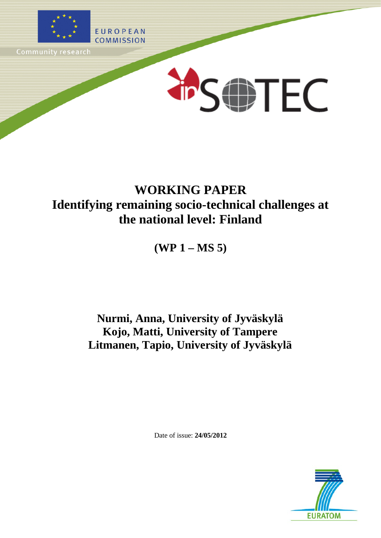

# **WORKING PAPER Identifying remaining socio-technical challenges at the national level: Finland**

**(WP 1 – MS 5)**

## **Nurmi, Anna, University of Jyväskylä Kojo, Matti, University of Tampere Litmanen, Tapio, University of Jyväskylä**

Date of issue: **24/05/2012**

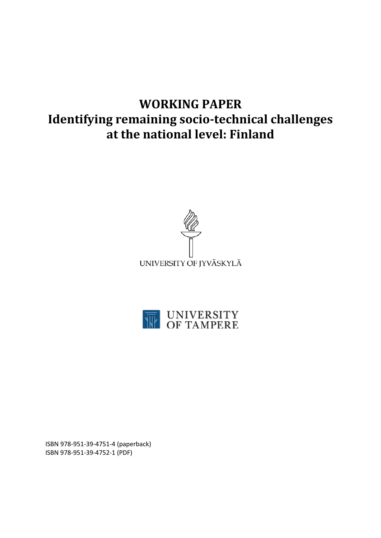# **WORKING PAPER Identifying remaining socio-technical challenges at the national level: Finland**





ISBN 978-951-39-4751-4 (paperback) ISBN 978-951-39-4752-1 (PDF)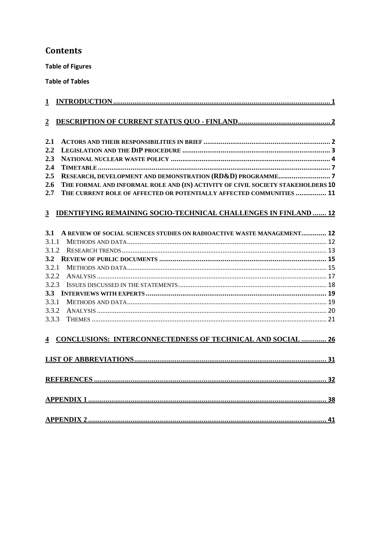## **Contents**

**Table of Figures** 

**Table of Tables** 

| $\mathbf{1}$            |  |                                                                                 |  |  |  |
|-------------------------|--|---------------------------------------------------------------------------------|--|--|--|
|                         |  |                                                                                 |  |  |  |
| $\boldsymbol{2}$        |  |                                                                                 |  |  |  |
|                         |  |                                                                                 |  |  |  |
| 2.1                     |  |                                                                                 |  |  |  |
| 2.2                     |  |                                                                                 |  |  |  |
| 2.3                     |  |                                                                                 |  |  |  |
| 2.4                     |  |                                                                                 |  |  |  |
| 2.5                     |  |                                                                                 |  |  |  |
| 2.6                     |  | THE FORMAL AND INFORMAL ROLE AND (IN) ACTIVITY OF CIVIL SOCIETY STAKEHOLDERS 10 |  |  |  |
| 2.7                     |  | THE CURRENT ROLE OF AFFECTED OR POTENTIALLY AFFECTED COMMUNITIES  11            |  |  |  |
|                         |  |                                                                                 |  |  |  |
| $\overline{3}$          |  | <b>IDENTIFYING REMAINING SOCIO-TECHNICAL CHALLENGES IN FINLAND  12</b>          |  |  |  |
|                         |  |                                                                                 |  |  |  |
| <b>3.1</b>              |  | A REVIEW OF SOCIAL SCIENCES STUDIES ON RADIOACTIVE WASTE MANAGEMENT 12          |  |  |  |
| 3.1.1                   |  |                                                                                 |  |  |  |
| 3.1.2                   |  |                                                                                 |  |  |  |
| 3.2                     |  |                                                                                 |  |  |  |
| 3.2.1                   |  |                                                                                 |  |  |  |
| 3.2.2                   |  |                                                                                 |  |  |  |
| 3.2.3                   |  |                                                                                 |  |  |  |
| 3.3                     |  |                                                                                 |  |  |  |
| 3.3.1                   |  |                                                                                 |  |  |  |
| 3.3.2                   |  |                                                                                 |  |  |  |
| 3.3.3                   |  |                                                                                 |  |  |  |
|                         |  |                                                                                 |  |  |  |
| $\overline{\mathbf{4}}$ |  | <b>CONCLUSIONS: INTERCONNECTEDNESS OF TECHNICAL AND SOCIAL  26</b>              |  |  |  |
|                         |  |                                                                                 |  |  |  |
|                         |  |                                                                                 |  |  |  |
|                         |  |                                                                                 |  |  |  |
|                         |  |                                                                                 |  |  |  |
|                         |  |                                                                                 |  |  |  |
|                         |  |                                                                                 |  |  |  |
|                         |  |                                                                                 |  |  |  |
|                         |  |                                                                                 |  |  |  |
|                         |  |                                                                                 |  |  |  |
|                         |  |                                                                                 |  |  |  |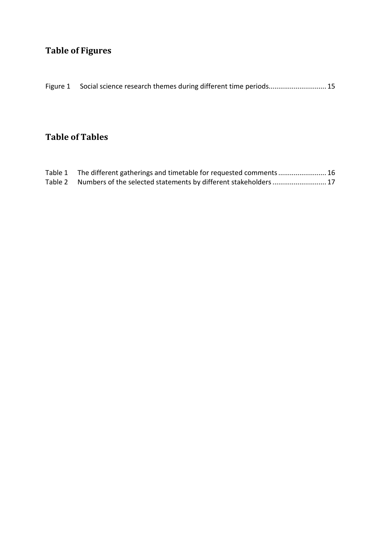## **Table of Figures**

| Figure 1 Social science research themes during different time periods 15 |
|--------------------------------------------------------------------------|
|                                                                          |

## **Table of Tables**

| Table 1 The different gatherings and timetable for requested comments  16 |  |
|---------------------------------------------------------------------------|--|
| Table 2 Numbers of the selected statements by different stakeholders 17   |  |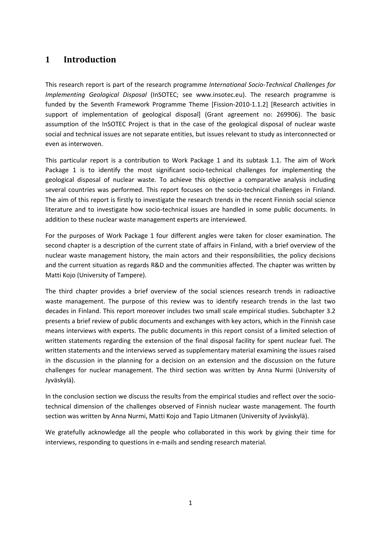## <span id="page-4-0"></span>**1 Introduction**

This research report is part of the research programme *International Socio-Technical Challenges for Implementing Geological Disposal* (InSOTEC; see www.insotec.eu). The research programme is funded by the Seventh Framework Programme Theme [Fission-2010-1.1.2] [Research activities in support of implementation of geological disposal] (Grant agreement no: 269906). The basic assumption of the InSOTEC Project is that in the case of the geological disposal of nuclear waste social and technical issues are not separate entities, but issues relevant to study as interconnected or even as interwoven.

This particular report is a contribution to Work Package 1 and its subtask 1.1. The aim of Work Package 1 is to identify the most significant socio-technical challenges for implementing the geological disposal of nuclear waste. To achieve this objective a comparative analysis including several countries was performed. This report focuses on the socio-technical challenges in Finland. The aim of this report is firstly to investigate the research trends in the recent Finnish social science literature and to investigate how socio-technical issues are handled in some public documents. In addition to these nuclear waste management experts are interviewed.

For the purposes of Work Package 1 four different angles were taken for closer examination. The second chapter is a description of the current state of affairs in Finland, with a brief overview of the nuclear waste management history, the main actors and their responsibilities, the policy decisions and the current situation as regards R&D and the communities affected. The chapter was written by Matti Kojo (University of Tampere).

The third chapter provides a brief overview of the social sciences research trends in radioactive waste management. The purpose of this review was to identify research trends in the last two decades in Finland. This report moreover includes two small scale empirical studies. Subchapter 3.2 presents a brief review of public documents and exchanges with key actors, which in the Finnish case means interviews with experts. The public documents in this report consist of a limited selection of written statements regarding the extension of the final disposal facility for spent nuclear fuel. The written statements and the interviews served as supplementary material examining the issues raised in the discussion in the planning for a decision on an extension and the discussion on the future challenges for nuclear management. The third section was written by Anna Nurmi (University of Jyväskylä).

In the conclusion section we discuss the results from the empirical studies and reflect over the sociotechnical dimension of the challenges observed of Finnish nuclear waste management. The fourth section was written by Anna Nurmi, Matti Kojo and Tapio Litmanen (University of Jyväskylä).

We gratefully acknowledge all the people who collaborated in this work by giving their time for interviews, responding to questions in e-mails and sending research material.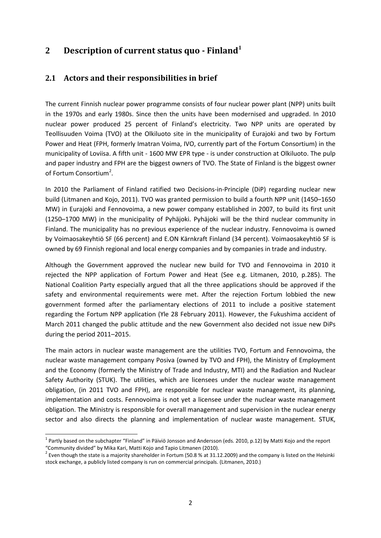## <span id="page-5-0"></span>**2 Description of current status quo - Finland[1](#page-5-2)**

## <span id="page-5-1"></span>**2.1 Actors and their responsibilities in brief**

The current Finnish nuclear power programme consists of four nuclear power plant (NPP) units built in the 1970s and early 1980s. Since then the units have been modernised and upgraded. In 2010 nuclear power produced 25 percent of Finland's electricity. Two NPP units are operated by Teollisuuden Voima (TVO) at the Olkiluoto site in the municipality of Eurajoki and two by Fortum Power and Heat (FPH, formerly Imatran Voima, IVO, currently part of the Fortum Consortium) in the municipality of Loviisa. A fifth unit - 1600 MW EPR type - is under construction at Olkiluoto. The pulp and paper industry and FPH are the biggest owners of TVO. The State of Finland is the biggest owner of Fortum Consortium<sup>[2](#page-5-3)</sup>.

In 2010 the Parliament of Finland ratified two Decisions-in-Principle (DiP) regarding nuclear new build (Litmanen and Kojo, 2011). TVO was granted permission to build a fourth NPP unit (1450–1650 MW) in Eurajoki and Fennovoima, a new power company established in 2007, to build its first unit (1250–1700 MW) in the municipality of Pyhäjoki. Pyhäjoki will be the third nuclear community in Finland. The municipality has no previous experience of the nuclear industry. Fennovoima is owned by Voimaosakeyhtiö SF (66 percent) and E.ON Kärnkraft Finland (34 percent). Voimaosakeyhtiö SF is owned by 69 Finnish regional and local energy companies and by companies in trade and industry.

Although the Government approved the nuclear new build for TVO and Fennovoima in 2010 it rejected the NPP application of Fortum Power and Heat (See e.g. Litmanen, 2010, p.285). The National Coalition Party especially argued that all the three applications should be approved if the safety and environmental requirements were met. After the rejection Fortum lobbied the new government formed after the parliamentary elections of 2011 to include a positive statement regarding the Fortum NPP application (Yle 28 February 2011). However, the Fukushima accident of March 2011 changed the public attitude and the new Government also decided not issue new DiPs during the period 2011–2015.

The main actors in nuclear waste management are the utilities TVO, Fortum and Fennovoima, the nuclear waste management company Posiva (owned by TVO and FPH), the Ministry of Employment and the Economy (formerly the Ministry of Trade and Industry, MTI) and the Radiation and Nuclear Safety Authority (STUK). The utilities, which are licensees under the nuclear waste management obligation, (in 2011 TVO and FPH), are responsible for nuclear waste management, its planning, implementation and costs. Fennovoima is not yet a licensee under the nuclear waste management obligation. The Ministry is responsible for overall management and supervision in the nuclear energy sector and also directs the planning and implementation of nuclear waste management. STUK,

<span id="page-5-2"></span> $1$  Partly based on the subchapter "Finland" in Päiviö Jonsson and Andersson (eds. 2010, p.12) by Matti Kojo and the report

<span id="page-5-3"></span><sup>&</sup>quot;Community divided" by Mika Kari, Matti Kojo and Tapio Litmanen (2010).<br><sup>2</sup> Even though the state is a majority shareholder in Fortum (50.8 % at 31.12.2009) and the company is listed on the Helsinki stock exchange, a publicly listed company is run on commercial principals. (Litmanen, 2010.)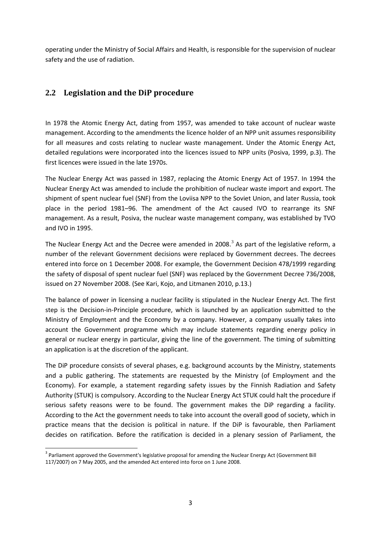operating under the Ministry of Social Affairs and Health, is responsible for the supervision of nuclear safety and the use of radiation.

## <span id="page-6-0"></span>**2.2 Legislation and the DiP procedure**

In 1978 the Atomic Energy Act, dating from 1957, was amended to take account of nuclear waste management. According to the amendments the licence holder of an NPP unit assumes responsibility for all measures and costs relating to nuclear waste management. Under the Atomic Energy Act, detailed regulations were incorporated into the licences issued to NPP units (Posiva, 1999, p.3). The first licences were issued in the late 1970s.

The Nuclear Energy Act was passed in 1987, replacing the Atomic Energy Act of 1957. In 1994 the Nuclear Energy Act was amended to include the prohibition of nuclear waste import and export. The shipment of spent nuclear fuel (SNF) from the Loviisa NPP to the Soviet Union, and later Russia, took place in the period 1981–96. The amendment of the Act caused IVO to rearrange its SNF management. As a result, Posiva, the nuclear waste management company, was established by TVO and IVO in 1995.

The Nuclear Energy Act and the Decree were amended in 2008.<sup>[3](#page-6-1)</sup> As part of the legislative reform, a number of the relevant Government decisions were replaced by Government decrees. The decrees entered into force on 1 December 2008. For example, the Government Decision 478/1999 regarding the safety of disposal of spent nuclear fuel (SNF) was replaced by the Government Decree 736/2008, issued on 27 November 2008. (See Kari, Kojo, and Litmanen 2010, p.13.)

The balance of power in licensing a nuclear facility is stipulated in the Nuclear Energy Act. The first step is the Decision-in-Principle procedure, which is launched by an application submitted to the Ministry of Employment and the Economy by a company. However, a company usually takes into account the Government programme which may include statements regarding energy policy in general or nuclear energy in particular, giving the line of the government. The timing of submitting an application is at the discretion of the applicant.

The DiP procedure consists of several phases, e.g. background accounts by the Ministry, statements and a public gathering. The statements are requested by the Ministry (of Employment and the Economy). For example, a statement regarding safety issues by the Finnish Radiation and Safety Authority (STUK) is compulsory. According to the Nuclear Energy Act STUK could halt the procedure if serious safety reasons were to be found. The government makes the DiP regarding a facility. According to the Act the government needs to take into account the overall good of society, which in practice means that the decision is political in nature. If the DiP is favourable, then Parliament decides on ratification. Before the ratification is decided in a plenary session of Parliament, the

<span id="page-6-1"></span><sup>&</sup>lt;sup>3</sup> Parliament approved the Government's legislative proposal for amending the Nuclear Energy Act (Government Bill 117/2007) on 7 May 2005, and the amended Act entered into force on 1 June 2008.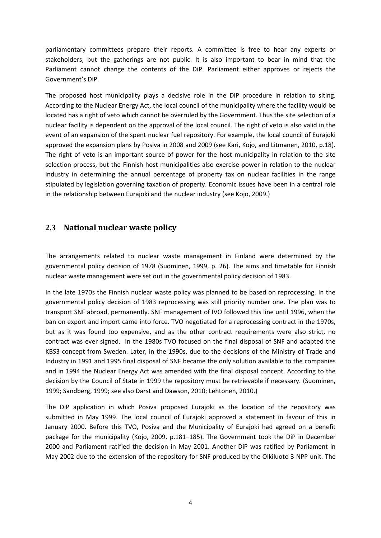parliamentary committees prepare their reports. A committee is free to hear any experts or stakeholders, but the gatherings are not public. It is also important to bear in mind that the Parliament cannot change the contents of the DiP. Parliament either approves or rejects the Government's DiP.

The proposed host municipality plays a decisive role in the DiP procedure in relation to siting. According to the Nuclear Energy Act, the local council of the municipality where the facility would be located has a right of veto which cannot be overruled by the Government. Thus the site selection of a nuclear facility is dependent on the approval of the local council. The right of veto is also valid in the event of an expansion of the spent nuclear fuel repository. For example, the local council of Eurajoki approved the expansion plans by Posiva in 2008 and 2009 (see Kari, Kojo, and Litmanen, 2010, p.18). The right of veto is an important source of power for the host municipality in relation to the site selection process, but the Finnish host municipalities also exercise power in relation to the nuclear industry in determining the annual percentage of property tax on nuclear facilities in the range stipulated by legislation governing taxation of property. Economic issues have been in a central role in the relationship between Eurajoki and the nuclear industry (see Kojo, 2009.)

### <span id="page-7-0"></span>**2.3 National nuclear waste policy**

The arrangements related to nuclear waste management in Finland were determined by the governmental policy decision of 1978 (Suominen, 1999, p. 26). The aims and timetable for Finnish nuclear waste management were set out in the governmental policy decision of 1983.

In the late 1970s the Finnish nuclear waste policy was planned to be based on reprocessing. In the governmental policy decision of 1983 reprocessing was still priority number one. The plan was to transport SNF abroad, permanently. SNF management of IVO followed this line until 1996, when the ban on export and import came into force. TVO negotiated for a reprocessing contract in the 1970s, but as it was found too expensive, and as the other contract requirements were also strict, no contract was ever signed. In the 1980s TVO focused on the final disposal of SNF and adapted the KBS3 concept from Sweden. Later, in the 1990s, due to the decisions of the Ministry of Trade and Industry in 1991 and 1995 final disposal of SNF became the only solution available to the companies and in 1994 the Nuclear Energy Act was amended with the final disposal concept. According to the decision by the Council of State in 1999 the repository must be retrievable if necessary. (Suominen, 1999; Sandberg, 1999; see also Darst and Dawson, 2010; Lehtonen, 2010.)

The DiP application in which Posiva proposed Eurajoki as the location of the repository was submitted in May 1999. The local council of Eurajoki approved a statement in favour of this in January 2000. Before this TVO, Posiva and the Municipality of Eurajoki had agreed on a benefit package for the municipality (Kojo, 2009, p.181–185). The Government took the DiP in December 2000 and Parliament ratified the decision in May 2001. Another DiP was ratified by Parliament in May 2002 due to the extension of the repository for SNF produced by the Olkiluoto 3 NPP unit. The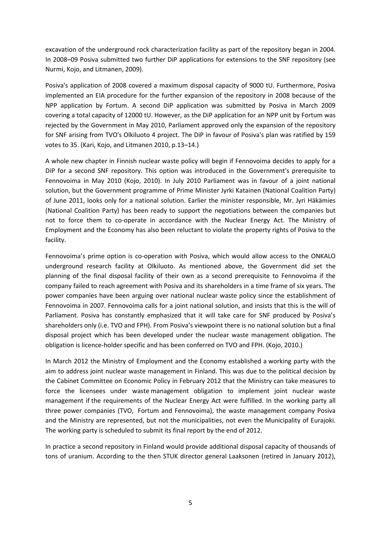excavation of the underground rock characterization facility as part of the repository began in 2004. In 2008–09 Posiva submitted two further DiP applications for extensions to the SNF repository (see Nurmi, Kojo, and Litmanen, 2009).

Posiva's application of 2008 covered a maximum disposal capacity of 9000 tU. Furthermore, Posiva implemented an EIA procedure for the further expansion of the repository in 2008 because of the NPP application by Fortum. A second DiP application was submitted by Posiva in March 2009 covering a total capacity of 12000 tU. However, as the DiP application for an NPP unit by Fortum was rejected by the Government in May 2010, Parliament approved only the expansion of the repository for SNF arising from TVO's Olkiluoto 4 project. The DiP in favour of Posiva's plan was ratified by 159 votes to 35. (Kari, Kojo, and Litmanen 2010, p.13–14.)

A whole new chapter in Finnish nuclear waste policy will begin if Fennovoima decides to apply for a DiP for a second SNF repository. This option was introduced in the Government's prerequisite to Fennovoima in May 2010 (Kojo, 2010). In July 2010 Parliament was in favour of a joint national solution, but the Government programme of Prime Minister Jyrki Katainen (National Coalition Party) of June 2011, looks only for a national solution. Earlier the minister responsible, Mr. Jyri Häkämies (National Coalition Party) has been ready to support the negotiations between the companies but not to force them to co-operate in accordance with the Nuclear Energy Act. The Ministry of Employment and the Economy has also been reluctant to violate the property rights of Posiva to the facility.

Fennovoima's prime option is co-operation with Posiva, which would allow access to the ONKALO underground research facility at Olkiluoto. As mentioned above, the Government did set the planning of the final disposal facility of their own as a second prerequisite to Fennovoima if the company failed to reach agreement with Posiva and its shareholders in a time frame of six years. The power companies have been arguing over national nuclear waste policy since the establishment of Fennovoima in 2007. Fennovoima calls for a joint national solution, and insists that this is the will of Parliament. Posiva has constantly emphasized that it will take care for SNF produced by Posiva's shareholders only (i.e. TVO and FPH). From Posiva's viewpoint there is no national solution but a final disposal project which has been developed under the nuclear waste management obligation. The obligation is licence-holder specific and has been conferred on TVO and FPH. (Kojo, 2010.)

In March 2012 the Ministry of Employment and the Economy established a working party with the aim to address joint nuclear waste management in Finland. This was due to the political decision by the Cabinet Committee on Economic Policy in February 2012 that the Ministry can take measures to force the licensees under waste management obligation to implement joint nuclear waste management if the requirements of the Nuclear Energy Act were fulfilled. In the working party all three power companies (TVO, Fortum and Fennovoima), the waste management company Posiva and the Ministry are represented, but not the municipalities, not even the Municipality of Eurajoki. The working party is scheduled to submit its final report by the end of 2012.

In practice a second repository in Finland would provide additional disposal capacity of thousands of tons of uranium. According to the then STUK director general Laaksonen (retired in January 2012),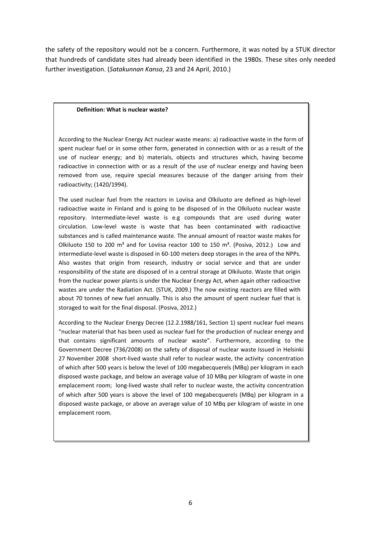the safety of the repository would not be a concern. Furthermore, it was noted by a STUK director that hundreds of candidate sites had already been identified in the 1980s. These sites only needed further investigation. (*Satakunnan Kansa*, 23 and 24 April, 2010.)

#### **Definition: What is nuclear waste?**

According to the Nuclear Energy Act nuclear waste means: a) radioactive waste in the form of spent nuclear fuel or in some other form, generated in connection with or as a result of the use of nuclear energy; and b) materials, objects and structures which, having become radioactive in connection with or as a result of the use of nuclear energy and having been removed from use, require special measures because of the danger arising from their radioactivity; (1420/1994).

The used nuclear fuel from the reactors in Loviisa and Olkiluoto are defined as high-level radioactive waste in Finland and is going to be disposed of in the Olkiluoto nuclear waste repository. Intermediate-level waste is e.g compounds that are used during water circulation. Low-level waste is waste that has been contaminated with radioactive substances and is called maintenance waste. The annual amount of reactor waste makes for Olkiluoto 150 to 200  $m^3$  and for Loviisa reactor 100 to 150  $m^3$ . (Posiva, 2012.) Low and intermediate-level waste is disposed in 60-100 meters deep storages in the area of the NPPs. Also wastes that origin from research, industry or social service and that are under responsibility of the state are disposed of in a central storage at Olkiluoto. Waste that origin from the nuclear power plants is under the Nuclear Energy Act, when again other radioactive wastes are under the Radiation Act. (STUK, 2009.) The now existing reactors are filled with about 70 tonnes of new fuel annually. This is also the amount of spent nuclear fuel that is storaged to wait for the final disposal. (Posiva, 2012.)

According to the Nuclear Energy Decree (12.2.1988/161, Section 1) spent nuclear fuel means "nuclear material that has been used as nuclear fuel for the production of nuclear energy and that contains significant amounts of nuclear waste". Furthermore, according to the Government Decree (736/2008) on the safety of disposal of nuclear waste Issued in Helsinki 27 November 2008 short-lived waste shall refer to nuclear waste, the activity concentration of which after 500 years is below the level of 100 megabecquerels (MBq) per kilogram in each disposed waste package, and below an average value of 10 MBq per kilogram of waste in one emplacement room; long-lived waste shall refer to nuclear waste, the activity concentration of which after 500 years is above the level of 100 megabecquerels (MBq) per kilogram in a disposed waste package, or above an average value of 10 MBq per kilogram of waste in one emplacement room.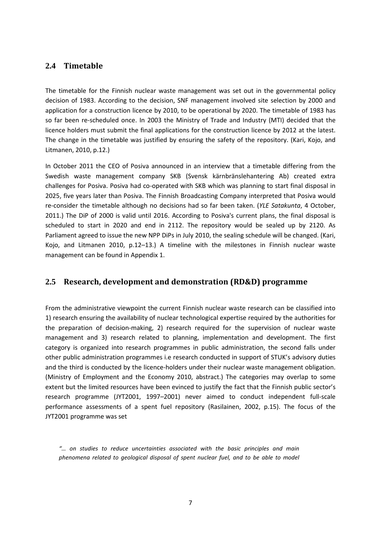### <span id="page-10-0"></span>**2.4 Timetable**

The timetable for the Finnish nuclear waste management was set out in the governmental policy decision of 1983. According to the decision, SNF management involved site selection by 2000 and application for a construction licence by 2010, to be operational by 2020. The timetable of 1983 has so far been re-scheduled once. In 2003 the Ministry of Trade and Industry (MTI) decided that the licence holders must submit the final applications for the construction licence by 2012 at the latest. The change in the timetable was justified by ensuring the safety of the repository. (Kari, Kojo, and Litmanen, 2010, p.12.)

In October 2011 the CEO of Posiva announced in an interview that a timetable differing from the Swedish waste management company SKB (Svensk kärnbränslehantering Ab) created extra challenges for Posiva. Posiva had co-operated with SKB which was planning to start final disposal in 2025, five years later than Posiva. The Finnish Broadcasting Company interpreted that Posiva would re-consider the timetable although no decisions had so far been taken. (*YLE Satakunta*, 4 October, 2011.) The DiP of 2000 is valid until 2016. According to Posiva's current plans, the final disposal is scheduled to start in 2020 and end in 2112. The repository would be sealed up by 2120. As Parliament agreed to issue the new NPP DiPs in July 2010, the sealing schedule will be changed. (Kari, Kojo, and Litmanen 2010, p.12–13.) A timeline with the milestones in Finnish nuclear waste management can be found in Appendix 1.

#### <span id="page-10-1"></span>**2.5 Research, development and demonstration (RD&D) programme**

From the administrative viewpoint the current Finnish nuclear waste research can be classified into 1) research ensuring the availability of nuclear technological expertise required by the authorities for the preparation of decision-making, 2) research required for the supervision of nuclear waste management and 3) research related to planning, implementation and development. The first category is organized into research programmes in public administration, the second falls under other public administration programmes i.e research conducted in support of STUK's advisory duties and the third is conducted by the licence-holders under their nuclear waste management obligation. (Ministry of Employment and the Economy 2010, abstract.) The categories may overlap to some extent but the limited resources have been evinced to justify the fact that the Finnish public sector's research programme (JYT2001, 1997–2001) never aimed to conduct independent full-scale performance assessments of a spent fuel repository (Rasilainen, 2002, p.15). The focus of the JYT2001 programme was set

*"… on studies to reduce uncertainties associated with the basic principles and main phenomena related to geological disposal of spent nuclear fuel, and to be able to model*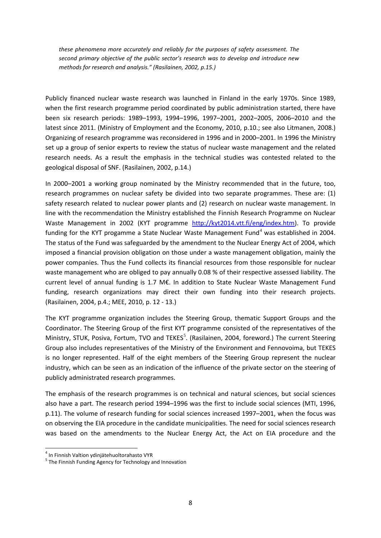*these phenomena more accurately and reliably for the purposes of safety assessment. The second primary objective of the public sector's research was to develop and introduce new methods for research and analysis." (Rasilainen, 2002, p.15.)*

Publicly financed nuclear waste research was launched in Finland in the early 1970s. Since 1989, when the first research programme period coordinated by public administration started, there have been six research periods: 1989–1993, 1994–1996, 1997–2001, 2002–2005, 2006–2010 and the latest since 2011. (Ministry of Employment and the Economy, 2010, p.10.; see also Litmanen, 2008.) Organizing of research programme was reconsidered in 1996 and in 2000–2001. In 1996 the Ministry set up a group of senior experts to review the status of nuclear waste management and the related research needs. As a result the emphasis in the technical studies was contested related to the geological disposal of SNF. (Rasilainen, 2002, p.14.)

In 2000–2001 a working group nominated by the Ministry recommended that in the future, too, research programmes on nuclear safety be divided into two separate programmes. These are: (1) safety research related to nuclear power plants and (2) research on nuclear waste management. In line with the recommendation the Ministry established the Finnish Research Programme on Nuclear Waste Management in 2002 (KYT programme [http://kyt2014.vtt.fi/eng/index.htm\)](http://kyt2014.vtt.fi/eng/index.htm). To provide funding for the KYT progamme a State Nuclear Waste Management Fund $4$  was established in 2004. The status of the Fund was safeguarded by the amendment to the Nuclear Energy Act of 2004, which imposed a financial provision obligation on those under a waste management obligation, mainly the power companies. Thus the Fund collects its financial resources from those responsible for nuclear waste management who are obliged to pay annually 0.08 % of their respective assessed liability. The current level of annual funding is 1.7 M€. In addition to State Nuclear Waste Management Fund funding, research organizations may direct their own funding into their research projects. (Rasilainen, 2004, p.4.; MEE, 2010, p. 12 - 13.)

The KYT programme organization includes the Steering Group, thematic Support Groups and the Coordinator. The Steering Group of the first KYT programme consisted of the representatives of the Ministry, STUK, Posiva, Fortum, TVO and TEKES<sup>[5](#page-11-1)</sup>. (Rasilainen, 2004, foreword.) The current Steering Group also includes representatives of the Ministry of the Environment and Fennovoima, but TEKES is no longer represented. Half of the eight members of the Steering Group represent the nuclear industry, which can be seen as an indication of the influence of the private sector on the steering of publicly administrated research programmes.

The emphasis of the research programmes is on technical and natural sciences, but social sciences also have a part. The research period 1994–1996 was the first to include social sciences (MTI, 1996, p.11). The volume of research funding for social sciences increased 1997–2001, when the focus was on observing the EIA procedure in the candidate municipalities. The need for social sciences research was based on the amendments to the Nuclear Energy Act, the Act on EIA procedure and the

<span id="page-11-1"></span><span id="page-11-0"></span><sup>&</sup>lt;sup>4</sup> In Finnish Valtion ydinjätehuoltorahasto VYR<br><sup>5</sup> The Finnish Funding Agency for Technology and Innovation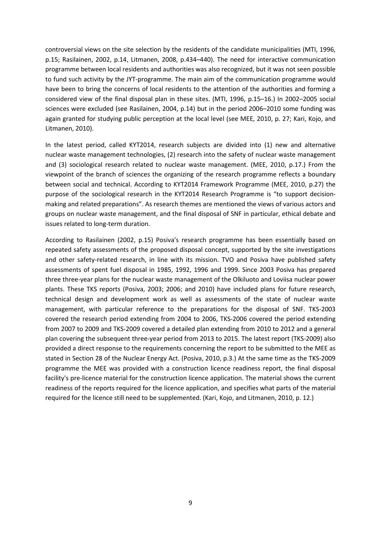controversial views on the site selection by the residents of the candidate municipalities (MTI, 1996, p.15; Rasilainen, 2002, p.14, Litmanen, 2008, p.434–440). The need for interactive communication programme between local residents and authorities was also recognized, but it was not seen possible to fund such activity by the JYT-programme. The main aim of the communication programme would have been to bring the concerns of local residents to the attention of the authorities and forming a considered view of the final disposal plan in these sites. (MTI, 1996, p.15–16.) In 2002–2005 social sciences were excluded (see Rasilainen, 2004, p.14) but in the period 2006–2010 some funding was again granted for studying public perception at the local level (see MEE, 2010, p. 27; Kari, Kojo, and Litmanen, 2010).

In the latest period, called KYT2014, research subjects are divided into (1) new and alternative nuclear waste management technologies, (2) research into the safety of nuclear waste management and (3) sociological research related to nuclear waste management. (MEE, 2010, p.17.) From the viewpoint of the branch of sciences the organizing of the research programme reflects a boundary between social and technical. According to KYT2014 Framework Programme (MEE, 2010, p.27) the purpose of the sociological research in the KYT2014 Research Programme is "to support decisionmaking and related preparations". As research themes are mentioned the views of various actors and groups on nuclear waste management, and the final disposal of SNF in particular, ethical debate and issues related to long-term duration.

According to Rasilainen (2002, p.15) Posiva's research programme has been essentially based on repeated safety assessments of the proposed disposal concept, supported by the site investigations and other safety-related research, in line with its mission. TVO and Posiva have published safety assessments of spent fuel disposal in 1985, 1992, 1996 and 1999. Since 2003 Posiva has prepared three three-year plans for the nuclear waste management of the Olkiluoto and Loviisa nuclear power plants. These TKS reports (Posiva, 2003; 2006; and 2010) have included plans for future research, technical design and development work as well as assessments of the state of nuclear waste management, with particular reference to the preparations for the disposal of SNF. TKS-2003 covered the research period extending from 2004 to 2006, TKS-2006 covered the period extending from 2007 to 2009 and TKS-2009 covered a detailed plan extending from 2010 to 2012 and a general plan covering the subsequent three-year period from 2013 to 2015. The latest report (TKS-2009) also provided a direct response to the requirements concerning the report to be submitted to the MEE as stated in Section 28 of the Nuclear Energy Act. (Posiva, 2010, p.3.) At the same time as the TKS-2009 programme the MEE was provided with a construction licence readiness report, the final disposal facility's pre-licence material for the construction licence application. The material shows the current readiness of the reports required for the licence application, and specifies what parts of the material required for the licence still need to be supplemented. (Kari, Kojo, and Litmanen, 2010, p. 12.)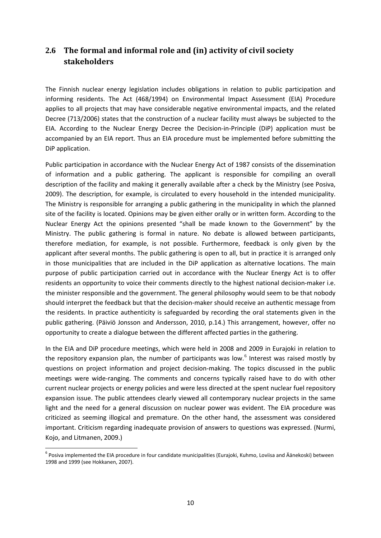## <span id="page-13-0"></span>**2.6 The formal and informal role and (in) activity of civil society stakeholders**

The Finnish nuclear energy legislation includes obligations in relation to public participation and informing residents. The Act (468/1994) on Environmental Impact Assessment (EIA) Procedure applies to all projects that may have considerable negative environmental impacts, and the related Decree (713/2006) states that the construction of a nuclear facility must always be subjected to the EIA. According to the Nuclear Energy Decree the Decision-in-Principle (DiP) application must be accompanied by an EIA report. Thus an EIA procedure must be implemented before submitting the DiP application.

Public participation in accordance with the Nuclear Energy Act of 1987 consists of the dissemination of information and a public gathering. The applicant is responsible for compiling an overall description of the facility and making it generally available after a check by the Ministry (see Posiva, 2009). The description, for example, is circulated to every household in the intended municipality. The Ministry is responsible for arranging a public gathering in the municipality in which the planned site of the facility is located. Opinions may be given either orally or in written form. According to the Nuclear Energy Act the opinions presented "shall be made known to the Government" by the Ministry. The public gathering is formal in nature. No debate is allowed between participants, therefore mediation, for example, is not possible. Furthermore, feedback is only given by the applicant after several months. The public gathering is open to all, but in practice it is arranged only in those municipalities that are included in the DiP application as alternative locations. The main purpose of public participation carried out in accordance with the Nuclear Energy Act is to offer residents an opportunity to voice their comments directly to the highest national decision-maker i.e. the minister responsible and the government. The general philosophy would seem to be that nobody should interpret the feedback but that the decision-maker should receive an authentic message from the residents. In practice authenticity is safeguarded by recording the oral statements given in the public gathering. (Päiviö Jonsson and Andersson, 2010, p.14.) This arrangement, however, offer no opportunity to create a dialogue between the different affected parties in the gathering.

In the EIA and DiP procedure meetings, which were held in 2008 and 2009 in Eurajoki in relation to the repository expansion plan, the number of participants was low. $6$  Interest was raised mostly by questions on project information and project decision-making. The topics discussed in the public meetings were wide-ranging. The comments and concerns typically raised have to do with other current nuclear projects or energy policies and were less directed at the spent nuclear fuel repository expansion issue. The public attendees clearly viewed all contemporary nuclear projects in the same light and the need for a general discussion on nuclear power was evident. The EIA procedure was criticized as seeming illogical and premature. On the other hand, the assessment was considered important. Criticism regarding inadequate provision of answers to questions was expressed. (Nurmi, Kojo, and Litmanen, 2009.)

<span id="page-13-1"></span><sup>&</sup>lt;sup>6</sup> Posiva implemented the EIA procedure in four candidate municipalities (Eurajoki, Kuhmo, Loviisa and Äänekoski) between 1998 and 1999 (see Hokkanen, 2007).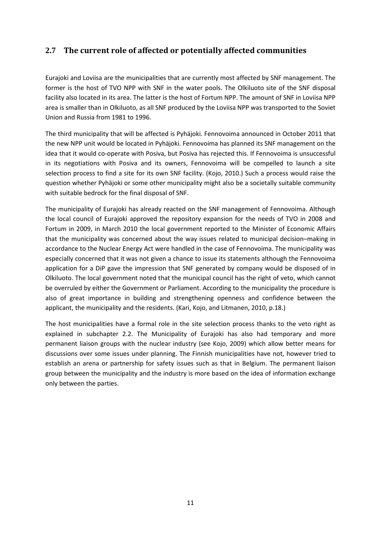## <span id="page-14-0"></span>**2.7 The current role of affected or potentially affected communities**

Eurajoki and Loviisa are the municipalities that are currently most affected by SNF management. The former is the host of TVO NPP with SNF in the water pools. The Olkiluoto site of the SNF disposal facility also located in its area. The latter is the host of Fortum NPP. The amount of SNF in Loviisa NPP area is smaller than in Olkiluoto, as all SNF produced by the Loviisa NPP was transported to the Soviet Union and Russia from 1981 to 1996.

The third municipality that will be affected is Pyhäjoki. Fennovoima announced in October 2011 that the new NPP unit would be located in Pyhäjoki. Fennovoima has planned its SNF management on the idea that it would co-operate with Posiva, but Posiva has rejected this. If Fennovoima is unsuccessful in its negotiations with Posiva and its owners, Fennovoima will be compelled to launch a site selection process to find a site for its own SNF facility. (Kojo, 2010.) Such a process would raise the question whether Pyhäjoki or some other municipality might also be a societally suitable community with suitable bedrock for the final disposal of SNF.

The municipality of Eurajoki has already reacted on the SNF management of Fennovoima. Although the local council of Eurajoki approved the repository expansion for the needs of TVO in 2008 and Fortum in 2009, in March 2010 the local government reported to the Minister of Economic Affairs that the municipality was concerned about the way issues related to municipal decision–making in accordance to the Nuclear Energy Act were handled in the case of Fennovoima. The municipality was especially concerned that it was not given a chance to issue its statements although the Fennovoima application for a DiP gave the impression that SNF generated by company would be disposed of in Olkiluoto. The local government noted that the municipal council has the right of veto, which cannot be overruled by either the Government or Parliament. According to the municipality the procedure is also of great importance in building and strengthening openness and confidence between the applicant, the municipality and the residents. (Kari, Kojo, and Litmanen, 2010, p.18.)

The host municipalities have a formal role in the site selection process thanks to the veto right as explained in subchapter 2.2. The Municipality of Eurajoki has also had temporary and more permanent liaison groups with the nuclear industry (see Kojo, 2009) which allow better means for discussions over some issues under planning. The Finnish municipalities have not, however tried to establish an arena or partnership for safety issues such as that in Belgium. The permanent liaison group between the municipality and the industry is more based on the idea of information exchange only between the parties.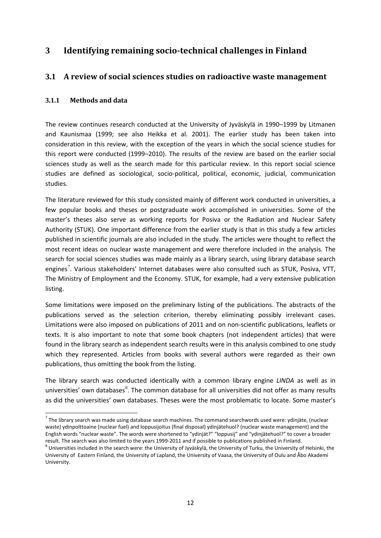## <span id="page-15-0"></span>**3 Identifying remaining socio-technical challenges in Finland**

## <span id="page-15-1"></span>**3.1 A review of social sciences studies on radioactive waste management**

#### <span id="page-15-2"></span>**3.1.1 Methods and data**

The review continues research conducted at the University of Jyväskylä in 1990–1999 by Litmanen and Kaunismaa (1999; see also Heikka et al. 2001). The earlier study has been taken into consideration in this review, with the exception of the years in which the social science studies for this report were conducted (1999–2010). The results of the review are based on the earlier social sciences study as well as the search made for this particular review. In this report social science studies are defined as sociological, socio-political, political, economic, judicial, communication studies.

The literature reviewed for this study consisted mainly of different work conducted in universities, a few popular books and theses or postgraduate work accomplished in universities. Some of the master's theses also serve as working reports for Posiva or the Radiation and Nuclear Safety Authority (STUK). One important difference from the earlier study is that in this study a few articles published in scientific journals are also included in the study. The articles were thought to reflect the most recent ideas on nuclear waste management and were therefore included in the analysis. The search for social sciences studies was made mainly as a library search, using library database search engines<sup>[7](#page-15-3)</sup>. Various stakeholders' Internet databases were also consulted such as STUK, Posiva, VTT, The Ministry of Employment and the Economy. STUK, for example, had a very extensive publication listing.

Some limitations were imposed on the preliminary listing of the publications. The abstracts of the publications served as the selection criterion, thereby eliminating possibly irrelevant cases. Limitations were also imposed on publications of 2011 and on non-scientific publications, leaflets or texts. It is also important to note that some book chapters (not independent articles) that were found in the library search as independent search results were in this analysis combined to one study which they represented. Articles from books with several authors were regarded as their own publications, thus omitting the book from the listing.

The library search was conducted identically with a common library engine *LINDA* as well as in universities' own databases ${}^{8}$  ${}^{8}$  ${}^{8}$ . The common database for all universities did not offer as many results as did the universities' own databases. Theses were the most problematic to locate. Some master's

<span id="page-15-3"></span> $<sup>7</sup>$  The library search was made using database search machines. The command searchwords used were: ydinjäte, (nuclear</sup> waste) ydinpolttoaine (nuclear fuel) and loppusijoitus (final disposal) ydinjätehuol? (nuclear waste management) and the English words "nuclear waste". The words were shortened to "ydinjät?" "loppusij" and "ydinjätehuol?" to cover a broader result. The search was also limited to the years 1999-2011 and if possible to publications published in Finland.<br><sup>8</sup> Universities included in the search were: the University of Jyväskylä, the University of Turku, the Unive

<span id="page-15-4"></span>University of Eastern Finland, the University of Lapland, the University of Vaasa, the University of Oulu and Åbo Akademi University.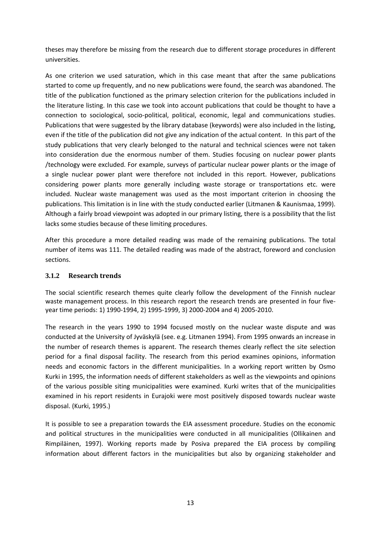theses may therefore be missing from the research due to different storage procedures in different universities.

As one criterion we used saturation, which in this case meant that after the same publications started to come up frequently, and no new publications were found, the search was abandoned. The title of the publication functioned as the primary selection criterion for the publications included in the literature listing. In this case we took into account publications that could be thought to have a connection to sociological, socio-political, political, economic, legal and communications studies. Publications that were suggested by the library database (keywords) were also included in the listing, even if the title of the publication did not give any indication of the actual content. In this part of the study publications that very clearly belonged to the natural and technical sciences were not taken into consideration due the enormous number of them. Studies focusing on nuclear power plants /technology were excluded. For example, surveys of particular nuclear power plants or the image of a single nuclear power plant were therefore not included in this report. However, publications considering power plants more generally including waste storage or transportations etc. were included. Nuclear waste management was used as the most important criterion in choosing the publications. This limitation is in line with the study conducted earlier (Litmanen & Kaunismaa, 1999). Although a fairly broad viewpoint was adopted in our primary listing, there is a possibility that the list lacks some studies because of these limiting procedures.

After this procedure a more detailed reading was made of the remaining publications. The total number of items was 111. The detailed reading was made of the abstract, foreword and conclusion sections.

#### <span id="page-16-0"></span>**3.1.2 Research trends**

The social scientific research themes quite clearly follow the development of the Finnish nuclear waste management process. In this research report the research trends are presented in four fiveyear time periods: 1) 1990-1994, 2) 1995-1999, 3) 2000-2004 and 4) 2005-2010.

The research in the years 1990 to 1994 focused mostly on the nuclear waste dispute and was conducted at the University of Jyväskylä (see. e.g. Litmanen 1994). From 1995 onwards an increase in the number of research themes is apparent. The research themes clearly reflect the site selection period for a final disposal facility. The research from this period examines opinions, information needs and economic factors in the different municipalities. In a working report written by Osmo Kurki in 1995, the information needs of different stakeholders as well as the viewpoints and opinions of the various possible siting municipalities were examined. Kurki writes that of the municipalities examined in his report residents in Eurajoki were most positively disposed towards nuclear waste disposal. (Kurki, 1995.)

It is possible to see a preparation towards the EIA assessment procedure. Studies on the economic and political structures in the municipalities were conducted in all municipalities (Ollikainen and Rimpiläinen, 1997). Working reports made by Posiva prepared the EIA process by compiling information about different factors in the municipalities but also by organizing stakeholder and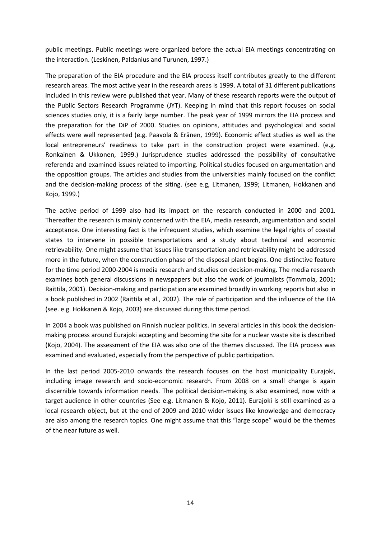public meetings. Public meetings were organized before the actual EIA meetings concentrating on the interaction. (Leskinen, Paldanius and Turunen, 1997.)

The preparation of the EIA procedure and the EIA process itself contributes greatly to the different research areas. The most active year in the research areas is 1999. A total of 31 different publications included in this review were published that year. Many of these research reports were the output of the Public Sectors Research Programme (JYT). Keeping in mind that this report focuses on social sciences studies only, it is a fairly large number. The peak year of 1999 mirrors the EIA process and the preparation for the DiP of 2000. Studies on opinions, attitudes and psychological and social effects were well represented (e.g. Paavola & Eränen, 1999). Economic effect studies as well as the local entrepreneurs' readiness to take part in the construction project were examined. (e.g. Ronkainen & Ukkonen, 1999.) Jurisprudence studies addressed the possibility of consultative referenda and examined issues related to importing. Political studies focused on argumentation and the opposition groups. The articles and studies from the universities mainly focused on the conflict and the decision-making process of the siting. (see e.g, Litmanen, 1999; Litmanen, Hokkanen and Kojo, 1999.)

The active period of 1999 also had its impact on the research conducted in 2000 and 2001. Thereafter the research is mainly concerned with the EIA, media research, argumentation and social acceptance. One interesting fact is the infrequent studies, which examine the legal rights of coastal states to intervene in possible transportations and a study about technical and economic retrievability. One might assume that issues like transportation and retrievability might be addressed more in the future, when the construction phase of the disposal plant begins. One distinctive feature for the time period 2000-2004 is media research and studies on decision-making. The media research examines both general discussions in newspapers but also the work of journalists (Tommola, 2001; Raittila, 2001). Decision-making and participation are examined broadly in working reports but also in a book published in 2002 (Raittila et al., 2002). The role of participation and the influence of the EIA (see. e.g. Hokkanen & Kojo, 2003) are discussed during this time period.

In 2004 a book was published on Finnish nuclear politics. In several articles in this book the decisionmaking process around Eurajoki accepting and becoming the site for a nuclear waste site is described (Kojo, 2004). The assessment of the EIA was also one of the themes discussed. The EIA process was examined and evaluated, especially from the perspective of public participation.

In the last period 2005-2010 onwards the research focuses on the host municipality Eurajoki, including image research and socio-economic research. From 2008 on a small change is again discernible towards information needs. The political decision-making is also examined, now with a target audience in other countries (See e.g. Litmanen & Kojo, 2011). Eurajoki is still examined as a local research object, but at the end of 2009 and 2010 wider issues like knowledge and democracy are also among the research topics. One might assume that this "large scope" would be the themes of the near future as well.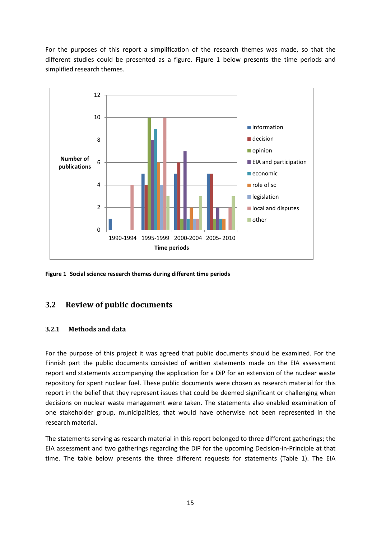<span id="page-18-2"></span>For the purposes of this report a simplification of the research themes was made, so that the different studies could be presented as a figure. Figure 1 below presents the time periods and simplified research themes.



**Figure 1 Social science research themes during different time periods**

### <span id="page-18-0"></span>**3.2 Review of public documents**

#### <span id="page-18-1"></span>**3.2.1 Methods and data**

For the purpose of this project it was agreed that public documents should be examined. For the Finnish part the public documents consisted of written statements made on the EIA assessment report and statements accompanying the application for a DiP for an extension of the nuclear waste repository for spent nuclear fuel. These public documents were chosen as research material for this report in the belief that they represent issues that could be deemed significant or challenging when decisions on nuclear waste management were taken. The statements also enabled examination of one stakeholder group, municipalities, that would have otherwise not been represented in the research material.

The statements serving as research material in this report belonged to three different gatherings; the EIA assessment and two gatherings regarding the DiP for the upcoming Decision-in-Principle at that time. The table below presents the three different requests for statements (Table 1). The EIA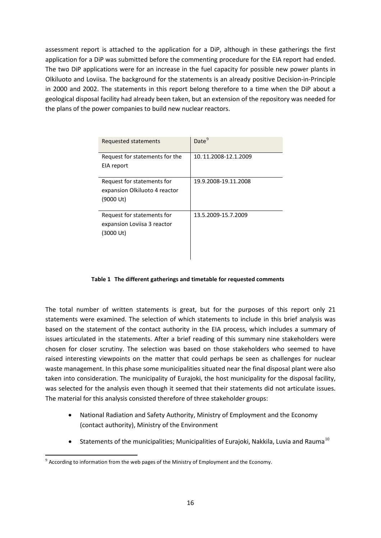assessment report is attached to the application for a DiP, although in these gatherings the first application for a DiP was submitted before the commenting procedure for the EIA report had ended. The two DiP applications were for an increase in the fuel capacity for possible new power plants in Olkiluoto and Loviisa. The background for the statements is an already positive Decision-in-Principle in 2000 and 2002. The statements in this report belong therefore to a time when the DiP about a geological disposal facility had already been taken, but an extension of the repository was needed for the plans of the power companies to build new nuclear reactors.

| Requested statements                         | Date <sup>9</sup>    |
|----------------------------------------------|----------------------|
| Request for statements for the<br>EIA report | 10.11.2008-12.1.2009 |
|                                              |                      |
| Request for statements for                   | 19.9.2008-19.11.2008 |
| expansion Olkiluoto 4 reactor                |                      |
| (9000 Ut)                                    |                      |
|                                              |                      |
| Request for statements for                   | 13.5.2009-15.7.2009  |
| expansion Loviisa 3 reactor                  |                      |
| (3000 Ut)                                    |                      |
|                                              |                      |
|                                              |                      |

#### **Table 1 The different gatherings and timetable for requested comments**

<span id="page-19-0"></span>The total number of written statements is great, but for the purposes of this report only 21 statements were examined. The selection of which statements to include in this brief analysis was based on the statement of the contact authority in the EIA process, which includes a summary of issues articulated in the statements. After a brief reading of this summary nine stakeholders were chosen for closer scrutiny. The selection was based on those stakeholders who seemed to have raised interesting viewpoints on the matter that could perhaps be seen as challenges for nuclear waste management. In this phase some municipalities situated near the final disposal plant were also taken into consideration. The municipality of Eurajoki, the host municipality for the disposal facility, was selected for the analysis even though it seemed that their statements did not articulate issues. The material for this analysis consisted therefore of three stakeholder groups:

- National Radiation and Safety Authority, Ministry of Employment and the Economy (contact authority), Ministry of the Environment
- Statements of the municipalities; Municipalities of Eurajoki, Nakkila, Luvia and Rauma<sup>[10](#page-19-1)</sup>

<span id="page-19-1"></span> $9$  According to information from the web pages of the Ministry of Employment and the Economy.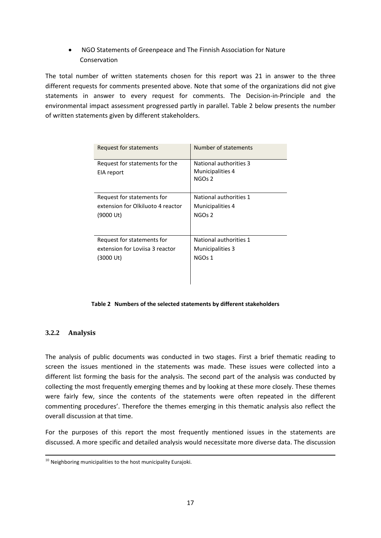• NGO Statements of Greenpeace and The Finnish Association for Nature Conservation

The total number of written statements chosen for this report was 21 in answer to the three different requests for comments presented above. Note that some of the organizations did not give statements in answer to every request for comments. The Decision-in-Principle and the environmental impact assessment progressed partly in parallel. Table 2 below presents the number of written statements given by different stakeholders.

| Request for statements                       | Number of statements                                             |
|----------------------------------------------|------------------------------------------------------------------|
| Request for statements for the<br>EIA report | National authorities 3<br>Municipalities 4<br>NGO <sub>s</sub> 2 |
| Request for statements for                   | National authorities 1                                           |
| extension for Olkiluoto 4 reactor            | Municipalities 4                                                 |
| (9000 Ut)                                    | NGO <sub>s</sub> 2                                               |
| Request for statements for                   | National authorities 1                                           |
| extension for Loviisa 3 reactor              | <b>Municipalities 3</b>                                          |
| (3000 Ut)                                    | NGOs 1                                                           |

#### **Table 2 Numbers of the selected statements by different stakeholders**

#### <span id="page-20-1"></span><span id="page-20-0"></span>**3.2.2 Analysis**

The analysis of public documents was conducted in two stages. First a brief thematic reading to screen the issues mentioned in the statements was made. These issues were collected into a different list forming the basis for the analysis. The second part of the analysis was conducted by collecting the most frequently emerging themes and by looking at these more closely. These themes were fairly few, since the contents of the statements were often repeated in the different commenting procedures'. Therefore the themes emerging in this thematic analysis also reflect the overall discussion at that time.

For the purposes of this report the most frequently mentioned issues in the statements are discussed. A more specific and detailed analysis would necessitate more diverse data. The discussion

 $10$  Neighboring municipalities to the host municipality Eurajoki.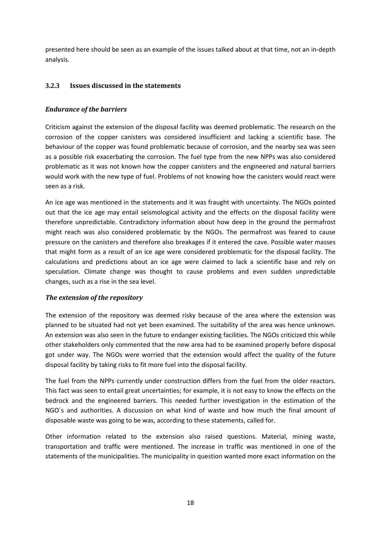presented here should be seen as an example of the issues talked about at that time, not an in-depth analysis.

#### <span id="page-21-0"></span>**3.2.3 Issues discussed in the statements**

#### *Endurance of the barriers*

Criticism against the extension of the disposal facility was deemed problematic. The research on the corrosion of the copper canisters was considered insufficient and lacking a scientific base. The behaviour of the copper was found problematic because of corrosion, and the nearby sea was seen as a possible risk exacerbating the corrosion. The fuel type from the new NPPs was also considered problematic as it was not known how the copper canisters and the engineered and natural barriers would work with the new type of fuel. Problems of not knowing how the canisters would react were seen as a risk.

An ice age was mentioned in the statements and it was fraught with uncertainty. The NGOs pointed out that the ice age may entail seismological activity and the effects on the disposal facility were therefore unpredictable. Contradictory information about how deep in the ground the permafrost might reach was also considered problematic by the NGOs. The permafrost was feared to cause pressure on the canisters and therefore also breakages if it entered the cave. Possible water masses that might form as a result of an ice age were considered problematic for the disposal facility. The calculations and predictions about an ice age were claimed to lack a scientific base and rely on speculation. Climate change was thought to cause problems and even sudden unpredictable changes, such as a rise in the sea level.

#### *The extension of the repository*

The extension of the repository was deemed risky because of the area where the extension was planned to be situated had not yet been examined. The suitability of the area was hence unknown. An extension was also seen in the future to endanger existing facilities. The NGOs criticized this while other stakeholders only commented that the new area had to be examined properly before disposal got under way. The NGOs were worried that the extension would affect the quality of the future disposal facility by taking risks to fit more fuel into the disposal facility.

The fuel from the NPPs currently under construction differs from the fuel from the older reactors. This fact was seen to entail great uncertainties; for example, it is not easy to know the effects on the bedrock and the engineered barriers. This needed further investigation in the estimation of the NGO´s and authorities. A discussion on what kind of waste and how much the final amount of disposable waste was going to be was, according to these statements, called for.

Other information related to the extension also raised questions. Material, mining waste, transportation and traffic were mentioned. The increase in traffic was mentioned in one of the statements of the municipalities. The municipality in question wanted more exact information on the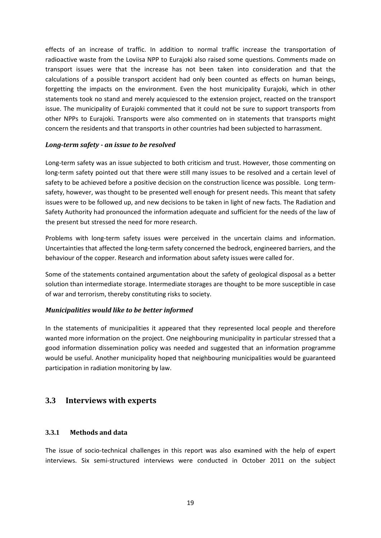effects of an increase of traffic. In addition to normal traffic increase the transportation of radioactive waste from the Loviisa NPP to Eurajoki also raised some questions. Comments made on transport issues were that the increase has not been taken into consideration and that the calculations of a possible transport accident had only been counted as effects on human beings, forgetting the impacts on the environment. Even the host municipality Eurajoki, which in other statements took no stand and merely acquiesced to the extension project, reacted on the transport issue. The municipality of Eurajoki commented that it could not be sure to support transports from other NPPs to Eurajoki. Transports were also commented on in statements that transports might concern the residents and that transports in other countries had been subjected to harrassment.

#### *Long-term safety - an issue to be resolved*

Long-term safety was an issue subjected to both criticism and trust. However, those commenting on long-term safety pointed out that there were still many issues to be resolved and a certain level of safety to be achieved before a positive decision on the construction licence was possible. Long termsafety, however, was thought to be presented well enough for present needs. This meant that safety issues were to be followed up, and new decisions to be taken in light of new facts. The Radiation and Safety Authority had pronounced the information adequate and sufficient for the needs of the law of the present but stressed the need for more research.

Problems with long-term safety issues were perceived in the uncertain claims and information. Uncertainties that affected the long-term safety concerned the bedrock, engineered barriers, and the behaviour of the copper. Research and information about safety issues were called for.

Some of the statements contained argumentation about the safety of geological disposal as a better solution than intermediate storage. Intermediate storages are thought to be more susceptible in case of war and terrorism, thereby constituting risks to society.

#### *Municipalities would like to be better informed*

In the statements of municipalities it appeared that they represented local people and therefore wanted more information on the project. One neighbouring municipality in particular stressed that a good information dissemination policy was needed and suggested that an information programme would be useful. Another municipality hoped that neighbouring municipalities would be guaranteed participation in radiation monitoring by law.

#### <span id="page-22-0"></span>**3.3 Interviews with experts**

#### <span id="page-22-1"></span>**3.3.1 Methods and data**

The issue of socio-technical challenges in this report was also examined with the help of expert interviews. Six semi-structured interviews were conducted in October 2011 on the subject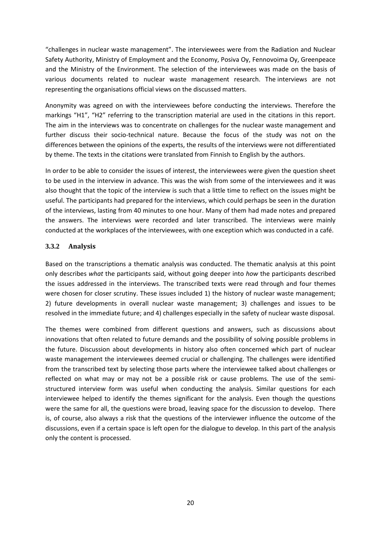"challenges in nuclear waste management". The interviewees were from the Radiation and Nuclear Safety Authority, Ministry of Employment and the Economy, Posiva Oy, Fennovoima Oy, Greenpeace and the Ministry of the Environment. The selection of the interviewees was made on the basis of various documents related to nuclear waste management research. The interviews are not representing the organisations official views on the discussed matters.

Anonymity was agreed on with the interviewees before conducting the interviews. Therefore the markings "H1", "H2" referring to the transcription material are used in the citations in this report. The aim in the interviews was to concentrate on challenges for the nuclear waste management and further discuss their socio-technical nature. Because the focus of the study was not on the differences between the opinions of the experts, the results of the interviews were not differentiated by theme. The texts in the citations were translated from Finnish to English by the authors.

In order to be able to consider the issues of interest, the interviewees were given the question sheet to be used in the interview in advance. This was the wish from some of the interviewees and it was also thought that the topic of the interview is such that a little time to reflect on the issues might be useful. The participants had prepared for the interviews, which could perhaps be seen in the duration of the interviews, lasting from 40 minutes to one hour. Many of them had made notes and prepared the answers. The interviews were recorded and later transcribed. The interviews were mainly conducted at the workplaces of the interviewees, with one exception which was conducted in a café.

#### <span id="page-23-0"></span>**3.3.2 Analysis**

Based on the transcriptions a thematic analysis was conducted. The thematic analysis at this point only describes *what* the participants said, without going deeper into *how* the participants described the issues addressed in the interviews. The transcribed texts were read through and four themes were chosen for closer scrutiny. These issues included 1) the history of nuclear waste management; 2) future developments in overall nuclear waste management; 3) challenges and issues to be resolved in the immediate future; and 4) challenges especially in the safety of nuclear waste disposal.

The themes were combined from different questions and answers, such as discussions about innovations that often related to future demands and the possibility of solving possible problems in the future. Discussion about developments in history also often concerned which part of nuclear waste management the interviewees deemed crucial or challenging. The challenges were identified from the transcribed text by selecting those parts where the interviewee talked about challenges or reflected on what may or may not be a possible risk or cause problems. The use of the semistructured interview form was useful when conducting the analysis. Similar questions for each interviewee helped to identify the themes significant for the analysis. Even though the questions were the same for all, the questions were broad, leaving space for the discussion to develop. There is, of course, also always a risk that the questions of the interviewer influence the outcome of the discussions, even if a certain space is left open for the dialogue to develop. In this part of the analysis only the content is processed.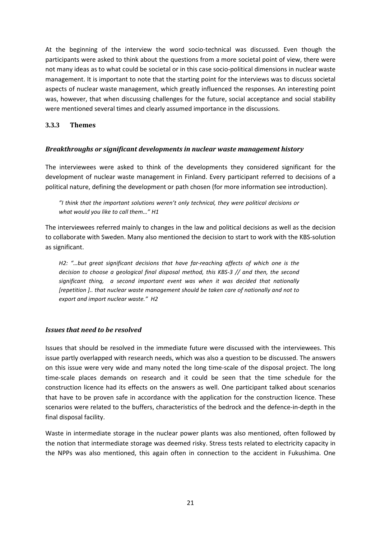At the beginning of the interview the word socio-technical was discussed. Even though the participants were asked to think about the questions from a more societal point of view, there were not many ideas as to what could be societal or in this case socio-political dimensions in nuclear waste management. It is important to note that the starting point for the interviews was to discuss societal aspects of nuclear waste management, which greatly influenced the responses. An interesting point was, however, that when discussing challenges for the future, social acceptance and social stability were mentioned several times and clearly assumed importance in the discussions.

#### <span id="page-24-0"></span>**3.3.3 Themes**

#### *Breakthroughs or significant developments in nuclear waste management history*

The interviewees were asked to think of the developments they considered significant for the development of nuclear waste management in Finland. Every participant referred to decisions of a political nature, defining the development or path chosen (for more information see introduction).

*"I think that the important solutions weren't only technical, they were political decisions or what would you like to call them…" H1*

The interviewees referred mainly to changes in the law and political decisions as well as the decision to collaborate with Sweden. Many also mentioned the decision to start to work with the KBS-solution as significant.

*H2: "…but great significant decisions that have far-reaching affects of which one is the decision to choose a geological final disposal method, this KBS-3 // and then, the second significant thing, a second important event was when it was decided that nationally [repetition ].. that nuclear waste management should be taken care of nationally and not to export and import nuclear waste." H2*

#### *Issues that need to be resolved*

Issues that should be resolved in the immediate future were discussed with the interviewees. This issue partly overlapped with research needs, which was also a question to be discussed. The answers on this issue were very wide and many noted the long time-scale of the disposal project. The long time-scale places demands on research and it could be seen that the time schedule for the construction licence had its effects on the answers as well. One participant talked about scenarios that have to be proven safe in accordance with the application for the construction licence. These scenarios were related to the buffers, characteristics of the bedrock and the defence-in-depth in the final disposal facility.

Waste in intermediate storage in the nuclear power plants was also mentioned, often followed by the notion that intermediate storage was deemed risky. Stress tests related to electricity capacity in the NPPs was also mentioned, this again often in connection to the accident in Fukushima. One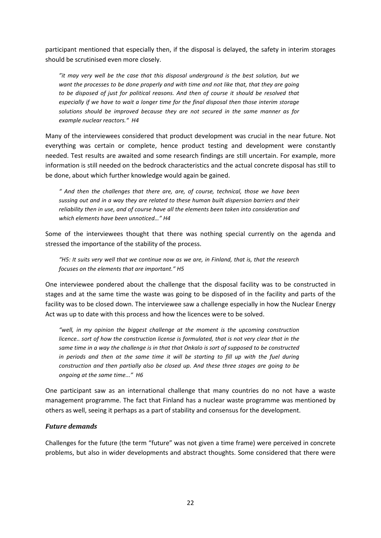participant mentioned that especially then, if the disposal is delayed, the safety in interim storages should be scrutinised even more closely.

*"it may very well be the case that this disposal underground is the best solution, but we want the processes to be done properly and with time and not like that, that they are going to be disposed of just for political reasons. And then of course it should be resolved that especially if we have to wait a longer time for the final disposal then those interim storage solutions should be improved because they are not secured in the same manner as for example nuclear reactors." H4*

Many of the interviewees considered that product development was crucial in the near future. Not everything was certain or complete, hence product testing and development were constantly needed. Test results are awaited and some research findings are still uncertain. For example, more information is still needed on the bedrock characteristics and the actual concrete disposal has still to be done, about which further knowledge would again be gained.

*" And then the challenges that there are, are, of course, technical, those we have been sussing out and in a way they are related to these human built dispersion barriers and their reliability then in use, and of course have all the elements been taken into consideration and which elements have been unnoticed…" H4*

Some of the interviewees thought that there was nothing special currently on the agenda and stressed the importance of the stability of the process.

*"H5: It suits very well that we continue now as we are, in Finland, that is, that the research focuses on the elements that are important." H5*

One interviewee pondered about the challenge that the disposal facility was to be constructed in stages and at the same time the waste was going to be disposed of in the facility and parts of the facility was to be closed down. The interviewee saw a challenge especially in how the Nuclear Energy Act was up to date with this process and how the licences were to be solved.

*"well, in my opinion the biggest challenge at the moment is the upcoming construction licence.. sort of how the construction license is formulated, that is not very clear that in the same time in a way the challenge is in that that Onkalo is sort of supposed to be constructed in periods and then at the same time it will be starting to fill up with the fuel during construction and then partially also be closed up. And these three stages are going to be ongoing at the same time..." H6*

One participant saw as an international challenge that many countries do no not have a waste management programme. The fact that Finland has a nuclear waste programme was mentioned by others as well, seeing it perhaps as a part of stability and consensus for the development.

#### *Future demands*

Challenges for the future (the term "future" was not given a time frame) were perceived in concrete problems, but also in wider developments and abstract thoughts. Some considered that there were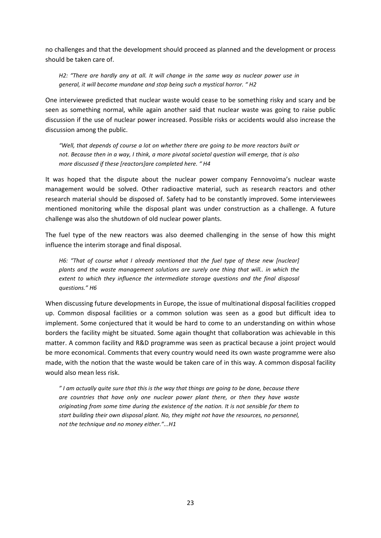no challenges and that the development should proceed as planned and the development or process should be taken care of.

*H2: "There are hardly any at all. It will change in the same way as nuclear power use in general, it will become mundane and stop being such a mystical horror. " H2*

One interviewee predicted that nuclear waste would cease to be something risky and scary and be seen as something normal, while again another said that nuclear waste was going to raise public discussion if the use of nuclear power increased. Possible risks or accidents would also increase the discussion among the public.

*"Well, that depends of course a lot on whether there are going to be more reactors built or not. Because then in a way, I think, a more pivotal societal question will emerge, that is also more discussed if these [reactors]are completed here. " H4*

It was hoped that the dispute about the nuclear power company Fennovoima's nuclear waste management would be solved. Other radioactive material, such as research reactors and other research material should be disposed of. Safety had to be constantly improved. Some interviewees mentioned monitoring while the disposal plant was under construction as a challenge. A future challenge was also the shutdown of old nuclear power plants.

The fuel type of the new reactors was also deemed challenging in the sense of how this might influence the interim storage and final disposal.

*H6: "That of course what I already mentioned that the fuel type of these new [nuclear] plants and the waste management solutions are surely one thing that will.. in which the extent to which they influence the intermediate storage questions and the final disposal questions." H6*

When discussing future developments in Europe, the issue of multinational disposal facilities cropped up. Common disposal facilities or a common solution was seen as a good but difficult idea to implement. Some conjectured that it would be hard to come to an understanding on within whose borders the facility might be situated. Some again thought that collaboration was achievable in this matter. A common facility and R&D programme was seen as practical because a joint project would be more economical. Comments that every country would need its own waste programme were also made, with the notion that the waste would be taken care of in this way. A common disposal facility would also mean less risk.

*" I am actually quite sure that this is the way that things are going to be done, because there are countries that have only one nuclear power plant there, or then they have waste originating from some time during the existence of the nation. It is not sensible for them to start building their own disposal plant. No, they might not have the resources, no personnel, not the technique and no money either."...H1*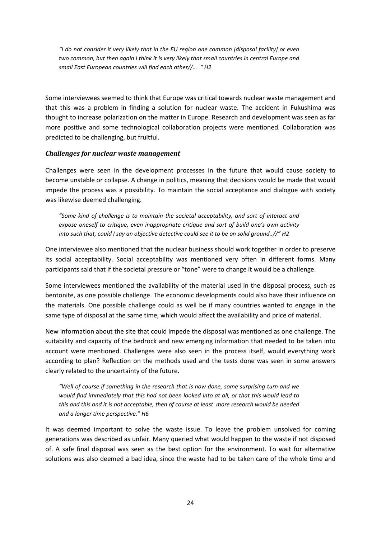*"I do not consider it very likely that in the EU region one common [disposal facility] or even two common, but then again I think it is very likely that small countries in central Europe and small East European countries will find each other//… " H2*

Some interviewees seemed to think that Europe was critical towards nuclear waste management and that this was a problem in finding a solution for nuclear waste. The accident in Fukushima was thought to increase polarization on the matter in Europe. Research and development was seen as far more positive and some technological collaboration projects were mentioned. Collaboration was predicted to be challenging, but fruitful.

#### *Challenges for nuclear waste management*

Challenges were seen in the development processes in the future that would cause society to become unstable or collapse. A change in politics, meaning that decisions would be made that would impede the process was a possibility. To maintain the social acceptance and dialogue with society was likewise deemed challenging.

*"Some kind of challenge is to maintain the societal acceptability, and sort of interact and expose oneself to critique, even inappropriate critique and sort of build one's own activity into such that, could I say an objective detective could see it to be on solid ground..//" H2*

One interviewee also mentioned that the nuclear business should work together in order to preserve its social acceptability. Social acceptability was mentioned very often in different forms. Many participants said that if the societal pressure or "tone" were to change it would be a challenge.

Some interviewees mentioned the availability of the material used in the disposal process, such as bentonite, as one possible challenge. The economic developments could also have their influence on the materials. One possible challenge could as well be if many countries wanted to engage in the same type of disposal at the same time, which would affect the availability and price of material.

New information about the site that could impede the disposal was mentioned as one challenge. The suitability and capacity of the bedrock and new emerging information that needed to be taken into account were mentioned. Challenges were also seen in the process itself, would everything work according to plan? Reflection on the methods used and the tests done was seen in some answers clearly related to the uncertainty of the future.

*"Well of course if something in the research that is now done, some surprising turn and we would find immediately that this had not been looked into at all, or that this would lead to this and this and it is not acceptable, then of course at least more research would be needed and a longer time perspective." H6*

It was deemed important to solve the waste issue. To leave the problem unsolved for coming generations was described as unfair. Many queried what would happen to the waste if not disposed of. A safe final disposal was seen as the best option for the environment. To wait for alternative solutions was also deemed a bad idea, since the waste had to be taken care of the whole time and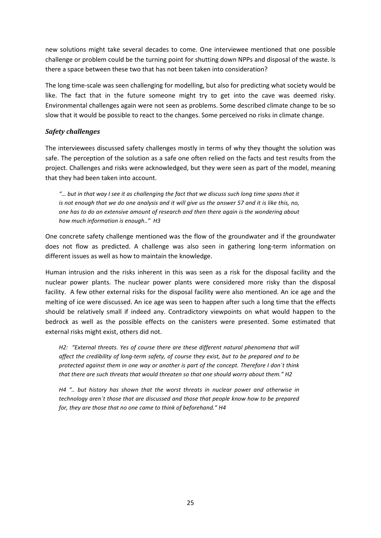new solutions might take several decades to come. One interviewee mentioned that one possible challenge or problem could be the turning point for shutting down NPPs and disposal of the waste. Is there a space between these two that has not been taken into consideration?

The long time-scale was seen challenging for modelling, but also for predicting what society would be like. The fact that in the future someone might try to get into the cave was deemed risky. Environmental challenges again were not seen as problems. Some described climate change to be so slow that it would be possible to react to the changes. Some perceived no risks in climate change.

#### *Safety challenges*

The interviewees discussed safety challenges mostly in terms of why they thought the solution was safe. The perception of the solution as a safe one often relied on the facts and test results from the project. Challenges and risks were acknowledged, but they were seen as part of the model, meaning that they had been taken into account.

*"… but in that way I see it as challenging the fact that we discuss such long time spans that it is not enough that we do one analysis and it will give us the answer 57 and it is like this, no, one has to do an extensive amount of research and then there again is the wondering about how much information is enough.." H3*

One concrete safety challenge mentioned was the flow of the groundwater and if the groundwater does not flow as predicted. A challenge was also seen in gathering long-term information on different issues as well as how to maintain the knowledge.

Human intrusion and the risks inherent in this was seen as a risk for the disposal facility and the nuclear power plants. The nuclear power plants were considered more risky than the disposal facility. A few other external risks for the disposal facility were also mentioned. An ice age and the melting of ice were discussed. An ice age was seen to happen after such a long time that the effects should be relatively small if indeed any. Contradictory viewpoints on what would happen to the bedrock as well as the possible effects on the canisters were presented. Some estimated that external risks might exist, others did not.

*H2: "External threats. Yes of course there are these different natural phenomena that will affect the credibility of long-term safety, of course they exist, but to be prepared and to be protected against them in one way or another is part of the concept. Therefore I don´t think that there are such threats that would threaten so that one should worry about them." H2*

*H4 ".. but history has shown that the worst threats in nuclear power and otherwise in technology aren´t those that are discussed and those that people know how to be prepared for, they are those that no one came to think of beforehand." H4*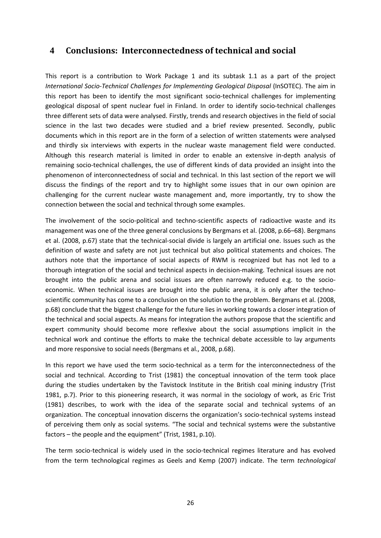## <span id="page-29-0"></span>**4 Conclusions: Interconnectedness of technical and social**

This report is a contribution to Work Package 1 and its subtask 1.1 as a part of the project *International Socio-Technical Challenges for Implementing Geological Disposal* (InSOTEC). The aim in this report has been to identify the most significant socio-technical challenges for implementing geological disposal of spent nuclear fuel in Finland. In order to identify socio-technical challenges three different sets of data were analysed. Firstly, trends and research objectives in the field of social science in the last two decades were studied and a brief review presented. Secondly, public documents which in this report are in the form of a selection of written statements were analysed and thirdly six interviews with experts in the nuclear waste management field were conducted. Although this research material is limited in order to enable an extensive in-depth analysis of remaining socio-technical challenges, the use of different kinds of data provided an insight into the phenomenon of interconnectedness of social and technical. In this last section of the report we will discuss the findings of the report and try to highlight some issues that in our own opinion are challenging for the current nuclear waste management and, more importantly, try to show the connection between the social and technical through some examples.

The involvement of the socio-political and techno-scientific aspects of radioactive waste and its management was one of the three general conclusions by Bergmans et al. (2008, p.66–68). Bergmans et al. (2008, p.67) state that the technical-social divide is largely an artificial one. Issues such as the definition of waste and safety are not just technical but also political statements and choices. The authors note that the importance of social aspects of RWM is recognized but has not led to a thorough integration of the social and technical aspects in decision-making. Technical issues are not brought into the public arena and social issues are often narrowly reduced e.g. to the socioeconomic. When technical issues are brought into the public arena, it is only after the technoscientific community has come to a conclusion on the solution to the problem. Bergmans et al. (2008, p.68) conclude that the biggest challenge for the future lies in working towards a closer integration of the technical and social aspects. As means for integration the authors propose that the scientific and expert community should become more reflexive about the social assumptions implicit in the technical work and continue the efforts to make the technical debate accessible to lay arguments and more responsive to social needs (Bergmans et al., 2008, p.68).

In this report we have used the term socio-technical as a term for the interconnectedness of the social and technical. According to Trist (1981) the conceptual innovation of the term took place during the studies undertaken by the Tavistock Institute in the British coal mining industry (Trist 1981, p.7). Prior to this pioneering research, it was normal in the sociology of work, as Eric Trist (1981) describes, to work with the idea of the separate social and technical systems of an organization. The conceptual innovation discerns the organization's socio-technical systems instead of perceiving them only as social systems. "The social and technical systems were the substantive factors – the people and the equipment" (Trist, 1981, p.10).

The term socio-technical is widely used in the socio-technical regimes literature and has evolved from the term technological regimes as Geels and Kemp (2007) indicate. The term *technological*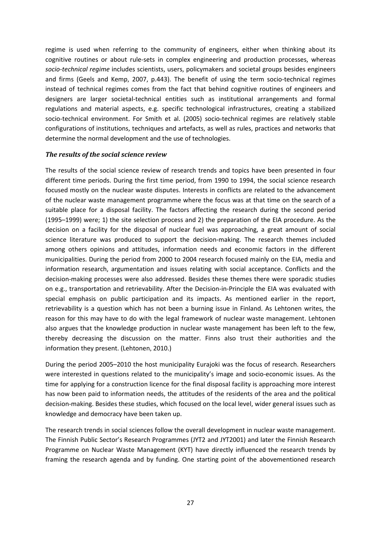regime is used when referring to the community of engineers, either when thinking about its cognitive routines or about rule-sets in complex engineering and production processes, whereas *socio-technical regime* includes scientists, users, policymakers and societal groups besides engineers and firms (Geels and Kemp, 2007, p.443). The benefit of using the term socio-technical regimes instead of technical regimes comes from the fact that behind cognitive routines of engineers and designers are larger societal-technical entities such as institutional arrangements and formal regulations and material aspects, e.g. specific technological infrastructures, creating a stabilized socio-technical environment. For Smith et al. (2005) socio-technical regimes are relatively stable configurations of institutions, techniques and artefacts, as well as rules, practices and networks that determine the normal development and the use of technologies.

#### *The results of the social science review*

The results of the social science review of research trends and topics have been presented in four different time periods. During the first time period, from 1990 to 1994, the social science research focused mostly on the nuclear waste disputes. Interests in conflicts are related to the advancement of the nuclear waste management programme where the focus was at that time on the search of a suitable place for a disposal facility. The factors affecting the research during the second period (1995–1999) were; 1) the site selection process and 2) the preparation of the EIA procedure. As the decision on a facility for the disposal of nuclear fuel was approaching, a great amount of social science literature was produced to support the decision-making. The research themes included among others opinions and attitudes, information needs and economic factors in the different municipalities. During the period from 2000 to 2004 research focused mainly on the EIA, media and information research, argumentation and issues relating with social acceptance. Conflicts and the decision-making processes were also addressed. Besides these themes there were sporadic studies on e.g., transportation and retrievability. After the Decision-in-Principle the EIA was evaluated with special emphasis on public participation and its impacts. As mentioned earlier in the report, retrievability is a question which has not been a burning issue in Finland. As Lehtonen writes, the reason for this may have to do with the legal framework of nuclear waste management. Lehtonen also argues that the knowledge production in nuclear waste management has been left to the few, thereby decreasing the discussion on the matter. Finns also trust their authorities and the information they present. (Lehtonen, 2010.)

During the period 2005–2010 the host municipality Eurajoki was the focus of research. Researchers were interested in questions related to the municipality's image and socio-economic issues. As the time for applying for a construction licence for the final disposal facility is approaching more interest has now been paid to information needs, the attitudes of the residents of the area and the political decision-making. Besides these studies, which focused on the local level, wider general issues such as knowledge and democracy have been taken up.

The research trends in social sciences follow the overall development in nuclear waste management. The Finnish Public Sector's Research Programmes (JYT2 and JYT2001) and later the Finnish Research Programme on Nuclear Waste Management (KYT) have directly influenced the research trends by framing the research agenda and by funding. One starting point of the abovementioned research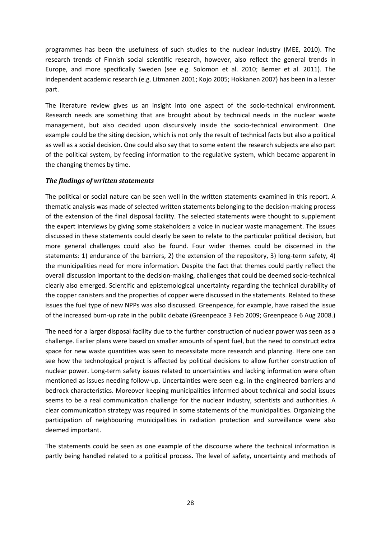programmes has been the usefulness of such studies to the nuclear industry (MEE, 2010). The research trends of Finnish social scientific research, however, also reflect the general trends in Europe, and more specifically Sweden (see e.g. Solomon et al. 2010; Berner et al. 2011). The independent academic research (e.g. Litmanen 2001; Kojo 2005; Hokkanen 2007) has been in a lesser part.

The literature review gives us an insight into one aspect of the socio-technical environment. Research needs are something that are brought about by technical needs in the nuclear waste management, but also decided upon discursively inside the socio-technical environment. One example could be the siting decision, which is not only the result of technical facts but also a political as well as a social decision. One could also say that to some extent the research subjects are also part of the political system, by feeding information to the regulative system, which became apparent in the changing themes by time.

#### *The findings of written statements*

The political or social nature can be seen well in the written statements examined in this report. A thematic analysis was made of selected written statements belonging to the decision-making process of the extension of the final disposal facility. The selected statements were thought to supplement the expert interviews by giving some stakeholders a voice in nuclear waste management. The issues discussed in these statements could clearly be seen to relate to the particular political decision, but more general challenges could also be found. Four wider themes could be discerned in the statements: 1) endurance of the barriers, 2) the extension of the repository, 3) long-term safety, 4) the municipalities need for more information. Despite the fact that themes could partly reflect the overall discussion important to the decision-making, challenges that could be deemed socio-technical clearly also emerged. Scientific and epistemological uncertainty regarding the technical durability of the copper canisters and the properties of copper were discussed in the statements. Related to these issues the fuel type of new NPPs was also discussed. Greenpeace, for example, have raised the issue of the increased burn-up rate in the public debate (Greenpeace 3 Feb 2009; Greenpeace 6 Aug 2008.)

The need for a larger disposal facility due to the further construction of nuclear power was seen as a challenge. Earlier plans were based on smaller amounts of spent fuel, but the need to construct extra space for new waste quantities was seen to necessitate more research and planning. Here one can see how the technological project is affected by political decisions to allow further construction of nuclear power. Long-term safety issues related to uncertainties and lacking information were often mentioned as issues needing follow-up. Uncertainties were seen e.g. in the engineered barriers and bedrock characteristics. Moreover keeping municipalities informed about technical and social issues seems to be a real communication challenge for the nuclear industry, scientists and authorities. A clear communication strategy was required in some statements of the municipalities. Organizing the participation of neighbouring municipalities in radiation protection and surveillance were also deemed important.

The statements could be seen as one example of the discourse where the technical information is partly being handled related to a political process. The level of safety, uncertainty and methods of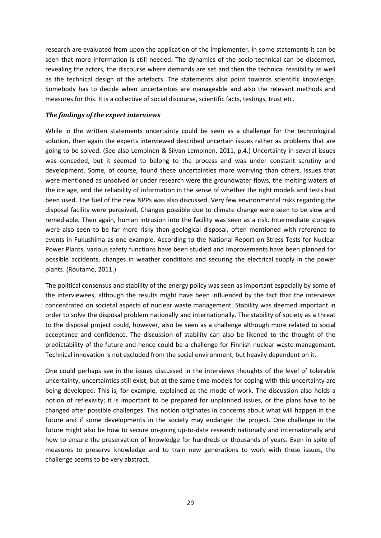research are evaluated from upon the application of the implementer. In some statements it can be seen that more information is still needed. The dynamics of the socio-technical can be discerned, revealing the actors, the discourse where demands are set and then the technical feasibility as well as the technical design of the artefacts. The statements also point towards scientific knowledge. Somebody has to decide when uncertainties are manageable and also the relevant methods and measures for this. It is a collective of social discourse, scientific facts, testings, trust etc.

#### *The findings of the expert interviews*

While in the written statements uncertainty could be seen as a challenge for the technological solution, then again the experts interviewed described uncertain issues rather as problems that are going to be solved. (See also Lempinen & Silvan-Lempinen, 2011, p.4.) Uncertainty in several issues was conceded, but it seemed to belong to the process and was under constant scrutiny and development. Some, of course, found these uncertainties more worrying than others. Issues that were mentioned as unsolved or under research were the groundwater flows, the melting waters of the ice age, and the reliability of information in the sense of whether the right models and tests had been used. The fuel of the new NPPs was also discussed. Very few environmental risks regarding the disposal facility were perceived. Changes possible due to climate change were seen to be slow and remediable. Then again, human intrusion into the facility was seen as a risk. Intermediate storages were also seen to be far more risky than geological disposal, often mentioned with reference to events in Fukushima as one example. According to the National Report on Stress Tests for Nuclear Power Plants, various safety functions have been studied and improvements have been planned for possible accidents, changes in weather conditions and securing the electrical supply in the power plants. (Routamo, 2011.)

The political consensus and stability of the energy policy was seen as important especially by some of the interviewees, although the results might have been influenced by the fact that the interviews concentrated on societal aspects of nuclear waste management. Stability was deemed important in order to solve the disposal problem nationally and internationally. The stability of society as a threat to the disposal project could, however, also be seen as a challenge although more related to social acceptance and confidence. The discussion of stability can also be likened to the thought of the predictability of the future and hence could be a challenge for Finnish nuclear waste management. Technical innovation is not excluded from the social environment, but heavily dependent on it.

One could perhaps see in the issues discussed in the interviews thoughts of the level of tolerable uncertainty, uncertainties still exist, but at the same time models for coping with this uncertainty are being developed. This is, for example, explained as the mode of work. The discussion also holds a notion of reflexivity; it is important to be prepared for unplanned issues, or the plans have to be changed after possible challenges. This notion originates in concerns about what will happen in the future and if some developments in the society may endanger the project. One challenge in the future might also be how to secure on-going up-to-date research nationally and internationally and how to ensure the preservation of knowledge for hundreds or thousands of years. Even in spite of measures to preserve knowledge and to train new generations to work with these issues, the challenge seems to be very abstract.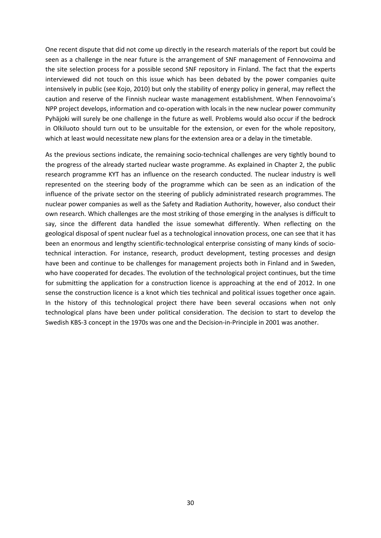One recent dispute that did not come up directly in the research materials of the report but could be seen as a challenge in the near future is the arrangement of SNF management of Fennovoima and the site selection process for a possible second SNF repository in Finland. The fact that the experts interviewed did not touch on this issue which has been debated by the power companies quite intensively in public (see Kojo, 2010) but only the stability of energy policy in general, may reflect the caution and reserve of the Finnish nuclear waste management establishment. When Fennovoima's NPP project develops, information and co-operation with locals in the new nuclear power community Pyhäjoki will surely be one challenge in the future as well. Problems would also occur if the bedrock in Olkiluoto should turn out to be unsuitable for the extension, or even for the whole repository, which at least would necessitate new plans for the extension area or a delay in the timetable.

As the previous sections indicate, the remaining socio-technical challenges are very tightly bound to the progress of the already started nuclear waste programme. As explained in Chapter 2, the public research programme KYT has an influence on the research conducted. The nuclear industry is well represented on the steering body of the programme which can be seen as an indication of the influence of the private sector on the steering of publicly administrated research programmes. The nuclear power companies as well as the Safety and Radiation Authority, however, also conduct their own research. Which challenges are the most striking of those emerging in the analyses is difficult to say, since the different data handled the issue somewhat differently. When reflecting on the geological disposal of spent nuclear fuel as a technological innovation process, one can see that it has been an enormous and lengthy scientific-technological enterprise consisting of many kinds of sociotechnical interaction. For instance, research, product development, testing processes and design have been and continue to be challenges for management projects both in Finland and in Sweden, who have cooperated for decades. The evolution of the technological project continues, but the time for submitting the application for a construction licence is approaching at the end of 2012. In one sense the construction licence is a knot which ties technical and political issues together once again. In the history of this technological project there have been several occasions when not only technological plans have been under political consideration. The decision to start to develop the Swedish KBS-3 concept in the 1970s was one and the Decision-in-Principle in 2001 was another.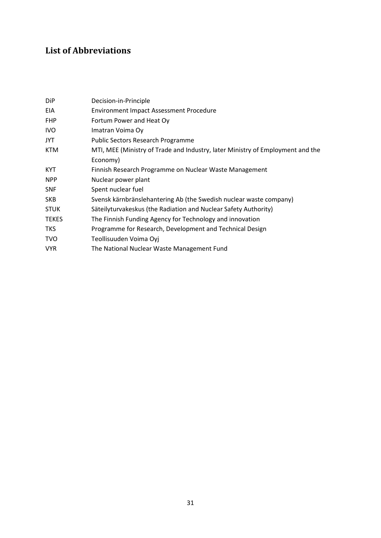## <span id="page-34-0"></span>**List of Abbreviations**

| <b>DiP</b>   | Decision-in-Principle                                                          |
|--------------|--------------------------------------------------------------------------------|
| <b>EIA</b>   | <b>Environment Impact Assessment Procedure</b>                                 |
| <b>FHP</b>   | Fortum Power and Heat Oy                                                       |
| IVO.         | Imatran Voima Oy                                                               |
| JYT          | <b>Public Sectors Research Programme</b>                                       |
| <b>KTM</b>   | MTI, MEE (Ministry of Trade and Industry, later Ministry of Employment and the |
|              | Economy)                                                                       |
| <b>KYT</b>   | Finnish Research Programme on Nuclear Waste Management                         |
| <b>NPP</b>   | Nuclear power plant                                                            |
| <b>SNF</b>   | Spent nuclear fuel                                                             |
| <b>SKB</b>   | Svensk kärnbränslehantering Ab (the Swedish nuclear waste company)             |
| <b>STUK</b>  | Säteilyturvakeskus (the Radiation and Nuclear Safety Authority)                |
| <b>TEKES</b> | The Finnish Funding Agency for Technology and innovation                       |
| <b>TKS</b>   | Programme for Research, Development and Technical Design                       |
| <b>TVO</b>   | Teollisuuden Voima Oyj                                                         |
| <b>VYR</b>   | The National Nuclear Waste Management Fund                                     |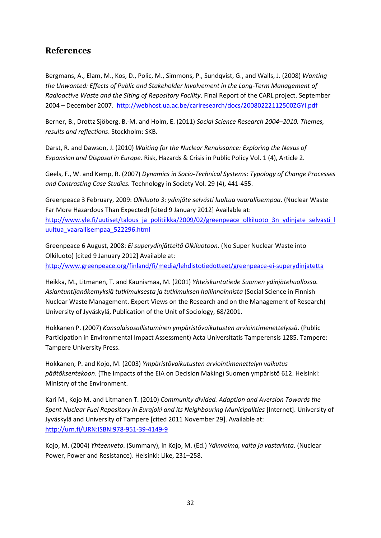## <span id="page-35-0"></span>**References**

Bergmans, A., Elam, M., Kos, D., Polic, M., Simmons, P., Sundqvist, G., and Walls, J. (2008) *Wanting the Unwanted: Effects of Public and Stakeholder Involvement in the Long-Term Management of Radioactive Waste and the Siting of Repository Facility*. Final Report of the CARL project. September 2004 – December 2007.<http://webhost.ua.ac.be/carlresearch/docs/20080222112500ZGYI.pdf>

Berner, B., Drottz Sjöberg. B.-M. and Holm, E. (2011) *Social Science Research 2004–2010. Themes, results and reflections*. Stockholm: SKB.

Darst, R. and Dawson, J. (2010) *Waiting for the Nuclear Renaissance: Exploring the Nexus of Expansion and Disposal in Europe.* Risk, Hazards & Crisis in Public Policy Vol. 1 (4), Article 2.

Geels, F., W. and Kemp, R. (2007) *Dynamics in Socio-Technical Systems: Typology of Change Processes and Contrasting Case Studies.* Technology in Society Vol. 29 (4), 441-455.

Greenpeace 3 February, 2009: *Olkiluoto 3: ydinjäte selvästi luultua vaarallisempaa*. (Nuclear Waste Far More Hazardous Than Expected) [cited 9 January 2012] Available at: [http://www.yle.fi/uutiset/talous\\_ja\\_politiikka/2009/02/greenpeace\\_olkiluoto\\_3n\\_ydinjate\\_selvasti\\_l](http://www.yle.fi/uutiset/talous_ja_politiikka/2009/02/greenpeace_olkiluoto_3n_ydinjate_selvasti_luultua_vaarallisempaa_522296.html) [uultua\\_vaarallisempaa\\_522296.html](http://www.yle.fi/uutiset/talous_ja_politiikka/2009/02/greenpeace_olkiluoto_3n_ydinjate_selvasti_luultua_vaarallisempaa_522296.html)

Greenpeace 6 August, 2008: *Ei superydinjätteitä Olkiluotoon.* (No Super Nuclear Waste into Olkiluoto) [cited 9 January 2012] Available at: <http://www.greenpeace.org/finland/fi/media/lehdistotiedotteet/greenpeace-ei-superydinjatetta>

Heikka, M., Litmanen, T. and Kaunismaa, M. (2001) *Yhteiskuntatiede Suomen ydinjätehuollossa. Asiantuntijanäkemyksiä tutkimuksesta ja tutkimuksen hallinnoinnista* (Social Science in Finnish Nuclear Waste Management. Expert Views on the Research and on the Management of Research) University of Jyväskylä, Publication of the Unit of Sociology, 68/2001.

Hokkanen P. (2007) *Kansalaisosallistuminen ympäristövaikutusten arviointimenettelyssä*. (Public Participation in Environmental Impact Assessment) Acta Universitatis Tamperensis 1285. Tampere: Tampere University Press.

Hokkanen, P. and Kojo, M. (2003) *Ympäristövaikutusten arviointimenettelyn vaikutus päätöksentekoon*. (The Impacts of the EIA on Decision Making) Suomen ympäristö 612. Helsinki: Ministry of the Environment.

Kari M., Kojo M. and Litmanen T. (2010) *Community divided. Adaption and Aversion Towards the Spent Nuclear Fuel Repository in Eurajoki and its Neighbouring Municipalities* [Internet]. University of Jyväskylä and University of Tampere [cited 2011 November 29]. Available at: <http://urn.fi/URN:ISBN:978-951-39-4149-9>

Kojo, M. (2004) *Yhteenveto*. (Summary), in Kojo, M. (Ed.) *Ydinvoima, valta ja vastarinta*. (Nuclear Power, Power and Resistance). Helsinki: Like, 231–258.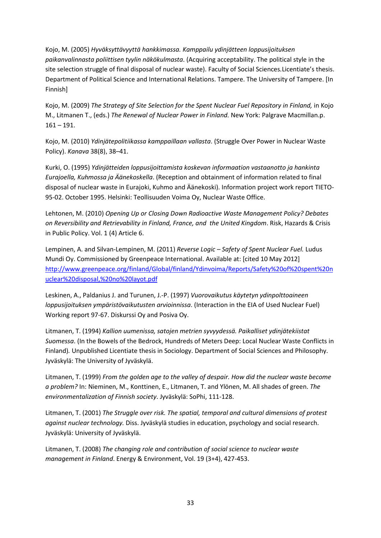Kojo, M. (2005) *Hyväksyttävyyttä hankkimassa. Kamppailu ydinjätteen loppusijoituksen paikanvalinnasta poliittisen tyylin näkökulmasta*. (Acquiring acceptability. The political style in the site selection struggle of final disposal of nuclear waste). Faculty of Social Sciences*.*Licentiate's thesis. Department of Political Science and International Relations. Tampere. The University of Tampere. [In Finnish]

Kojo, M. (2009) *The Strategy of Site Selection for the Spent Nuclear Fuel Repository in Finland,* in Kojo M., Litmanen T., (eds.) *The Renewal of Nuclear Power in Finland.* New York: Palgrave Macmillan.p. 161 – 191.

Kojo, M. (2010) *Ydinjätepolitiikassa kamppaillaan vallasta*. (Struggle Over Power in Nuclear Waste Policy). *Kanava* 38(8), 38–41.

Kurki, O. (1995) *Ydinjätteiden loppusijoittamista koskevan informaation vastaanotto ja hankinta Eurajoella, Kuhmossa ja Äänekoskella*. (Reception and obtainment of information related to final disposal of nuclear waste in Eurajoki, Kuhmo and Äänekoski). Information project work report TIETO-95-02. October 1995. Helsinki: Teollisuuden Voima Oy, Nuclear Waste Office.

Lehtonen, M. (2010) *Opening Up or Closing Down Radioactive Waste Management Policy? Debates on Reversibility and Retrievability in Finland, France, and the United Kingdom*. Risk, Hazards & Crisis in Public Policy. Vol. 1 (4) Article 6.

Lempinen, A. and Silvan-Lempinen, M. (2011) *Reverse Logic – Safety of Spent Nuclear Fuel.* Ludus Mundi Oy. Commissioned by Greenpeace International. Available at: [cited 10 May 2012] [http://www.greenpeace.org/finland/Global/finland/Ydinvoima/Reports/Safety%20of%20spent%20n](http://www.greenpeace.org/finland/Global/finland/Ydinvoima/Reports/Safety%20of%20spent%20nuclear%20disposal,%20no%20layot.pdf) [uclear%20disposal,%20no%20layot.pdf](http://www.greenpeace.org/finland/Global/finland/Ydinvoima/Reports/Safety%20of%20spent%20nuclear%20disposal,%20no%20layot.pdf)

Leskinen, A., Paldanius J. and Turunen, J.-P. (1997) *Vuorovaikutus käytetyn ydinpolttoaineen loppusijoituksen ympäristövaikutusten arvioinnissa*. (Interaction in the EIA of Used Nuclear Fuel) Working report 97-67. Diskurssi Oy and Posiva Oy.

Litmanen, T. (1994) *Kallion uumenissa, satojen metrien syvyydessä. Paikalliset ydinjätekiistat Suomessa*. (In the Bowels of the Bedrock, Hundreds of Meters Deep: Local Nuclear Waste Conflicts in Finland)*.* Unpublished Licentiate thesis in Sociology. Department of Social Sciences and Philosophy. Jyväskylä: The University of Jyväskylä.

Litmanen, T. (1999) *From the golden age to the valley of despair. How did the nuclear waste become a problem?* In: Nieminen, M., Konttinen, E., Litmanen, T. and Ylönen, M. All shades of green. *The environmentalization of Finnish society*. Jyväskylä: SoPhi, 111-128.

Litmanen, T. (2001) *The Struggle over risk. The spatial, temporal and cultural dimensions of protest against nuclear technology.* Diss. Jyväskylä studies in education, psychology and social research. Jyväskylä: University of Jyväskylä.

Litmanen, T. (2008) *The changing role and contribution of social science to nuclear waste management in Finland*. Energy & Environment, Vol. 19 (3+4), 427-453.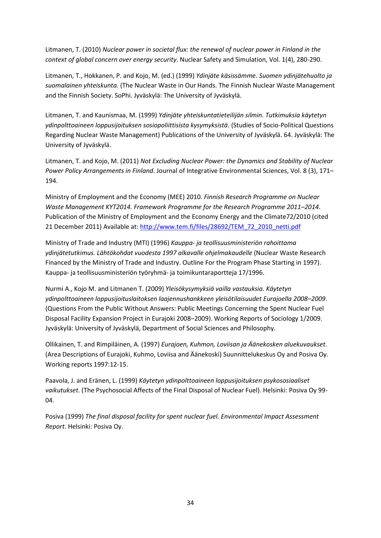Litmanen, T. (2010) *Nuclear power in societal flux: the renewal of nuclear power in Finland in the context of global concern over energy security*. Nuclear Safety and Simulation, Vol. 1(4), 280-290.

Litmanen, T., Hokkanen, P. and Kojo, M. (ed.) (1999) *Ydinjäte käsissämme. Suomen ydinjätehuolto ja suomalainen yhteiskunta.* (The Nuclear Waste in Our Hands. The Finnish Nuclear Waste Management and the Finnish Society. SoPhi. Jyväskylä: The University of Jyväskylä.

Litmanen, T. and Kaunismaa, M. (1999) *Ydinjäte yhteiskuntatieteilijän silmin. Tutkimuksia käytetyn ydinpolttoaineen loppusijoituksen sosiopoliittisista kysymyksistä*. (Studies of Socio-Political Questions Regarding Nuclear Waste Management) Publications of the University of Jyväskylä. 64. Jyväskylä: The University of Jyväskylä.

Litmanen, T. and Kojo, M. (2011) *Not Excluding Nuclear Power: the Dynamics and Stability of Nuclear Power Policy Arrangements in Finland*. Journal of Integrative Environmental Sciences, Vol. 8 (3), 171– 194.

Ministry of Employment and the Economy (MEE) 2010. *Finnish Research Programme on Nuclear Waste Management KYT2014. Framework Programme for the Research Programme 2011–2014*. Publication of the Ministry of Employment and the Economy Energy and the Climate72/2010 (cited 21 December 2011) Available at: [http://www.tem.fi/files/28692/TEM\\_72\\_2010\\_netti.pdf](http://www.tem.fi/files/28692/TEM_72_2010_netti.pdf)

Ministry of Trade and Industry (MTI) (1996) *Kauppa- ja teollisuusministeriön rahoittama ydinjätetutkimus. Lähtökohdat vuodesta 1997 alkavalle ohjelmakaudelle* (Nuclear Waste Research Financed by the Ministry of Trade and Industry. Outline For the Program Phase Starting in 1997). Kauppa- ja teollisuusministeriön työryhmä- ja toimikuntaraportteja 17/1996.

Nurmi A., Kojo M. and Litmanen T. (2009) *Yleisökysymyksiä vailla vastauksia. Käytetyn ydinpolttoaineen loppusijoituslaitoksen laajennushankkeen yleisötilaisuudet Eurajoella 2008–2009*. (Questions From the Public Without Answers: Public Meetings Concerning the Spent Nuclear Fuel Disposal Facility Expansion Project in Eurajoki 2008–2009). Working Reports of Sociology 1/2009. Jyväskylä: University of Jyväskylä, Department of Social Sciences and Philosophy.

Ollikainen, T. and Rimpiläinen, A. (1997) *Eurajoen, Kuhmon, Loviisan ja Äänekosken aluekuvaukset*. (Area Descriptions of Eurajoki, Kuhmo, Loviisa and Äänekoski) Suunnittelukeskus Oy and Posiva Oy. Working reports 1997:12-15.

Paavola, J. and Eränen, L. (1999) *Käytetyn ydinpolttoaineen loppusijoituksen psykososiaaliset vaikutukset*. (The Psychosocial Affects of the Final Disposal of Nuclear Fuel). Helsinki: Posiva Oy 99- 04.

Posiva (1999) *The final disposal facility for spent nuclear fuel. Environmental Impact Assessment Report*. Helsinki: Posiva Oy.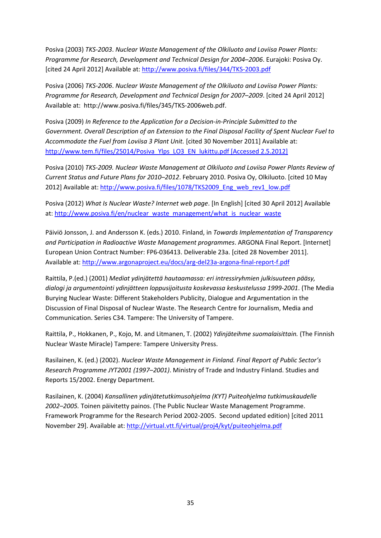Posiva (2003) *TKS-2003*. *Nuclear Waste Management of the Olkiluoto and Loviisa Power Plants: Programme for Research, Development and Technical Design for 2004–2006*. Eurajoki: Posiva Oy. [cited 24 April 2012] Available at: <http://www.posiva.fi/files/344/TKS-2003.pdf>

Posiva (2006) *TKS-2006*. *Nuclear Waste Management of the Olkiluoto and Loviisa Power Plants: Programme for Research, Development and Technical Design for 2007–2009*. [cited 24 April 2012] Available at: http://www.posiva.fi/files/345/TKS-2006web.pdf.

Posiva (2009) *In Reference to the Application for a Decision-in-Principle Submitted to the Government. Overall Description of an Extension to the Final Disposal Facility of Spent Nuclear Fuel to Accommodate the Fuel from Loviisa 3 Plant Unit.* [cited 30 November 2011] Available at: [http://www.tem.fi/files/25014/Posiva\\_Ylps\\_LO3\\_EN\\_lukittu.pdf](http://www.tem.fi/files/25014/Posiva_Ylps_LO3_EN_lukittu.pdf) [Accessed 2.5.2012]

Posiva (2010) *TKS-2009. Nuclear Waste Management at Olkiluoto and Loviisa Power Plants Review of Current Status and Future Plans for 2010–2012*. February 2010. Posiva Oy, Olkiluoto. [cited 10 May 2012] Available at[: http://www.posiva.fi/files/1078/TKS2009\\_Eng\\_web\\_rev1\\_low.pdf](http://www.posiva.fi/files/1078/TKS2009_Eng_web_rev1_low.pdf)

Posiva (2012) *What Is Nuclear Waste? Internet web page*. [In English] [cited 30 April 2012] Available at: [http://www.posiva.fi/en/nuclear\\_waste\\_management/what\\_is\\_nuclear\\_waste](http://www.posiva.fi/en/nuclear_waste_management/what_is_nuclear_waste)

Päiviö Jonsson, J. and Andersson K. (eds.) 2010. Finland, in *Towards Implementation of Transparency and Participation in Radioactive Waste Management programmes*. ARGONA Final Report. [Internet] European Union Contract Number: FP6-036413. Deliverable 23a. [cited 28 November 2011]. Available at[: http://www.argonaproject.eu/docs/arg-del23a-argona-final-report-f.pdf](http://www.argonaproject.eu/docs/arg-del23a-argona-final-report-f.pdf)

Raittila, P.(ed.) (2001) *Mediat ydinjätettä hautaamassa: eri intressiryhmien julkisuuteen pääsy, dialogi ja argumentointi ydinjätteen loppusijoitusta koskevassa keskustelussa 1999-2001*. (The Media Burying Nuclear Waste: Different Stakeholders Publicity, Dialogue and Argumentation in the Discussion of Final Disposal of Nuclear Waste. The Research Centre for Journalism, Media and Communication. Series C34. Tampere: The University of Tampere.

Raittila, P., Hokkanen, P., Kojo, M. and Litmanen, T. (2002) *Ydinjäteihme suomalaisittain.* (The Finnish Nuclear Waste Miracle) Tampere: Tampere University Press.

Rasilainen, K. (ed.) (2002). *Nuclear Waste Management in Finland. Final Report of Public Sector's Research Programme JYT2001 (1997–2001)*. Ministry of Trade and Industry Finland. Studies and Reports 15/2002. Energy Department.

Rasilainen, K. (2004) *Kansallinen ydinjätetutkimusohjelma (KYT) Puiteohjelma tutkimuskaudelle 2002–2005.* Toinen päivitetty painos. (The Public Nuclear Waste Management Programme. Framework Programme for the Research Period 2002-2005. Second updated edition) [cited 2011 November 29]. Available at:<http://virtual.vtt.fi/virtual/proj4/kyt/puiteohjelma.pdf>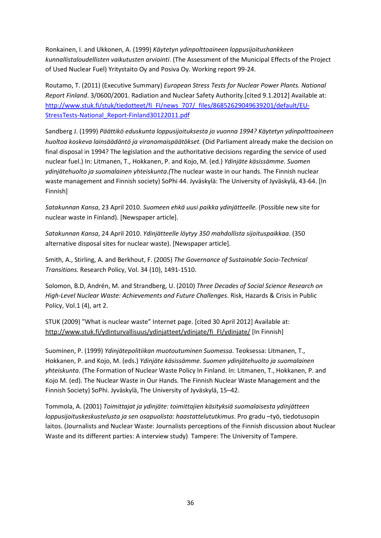Ronkainen, I. and Ukkonen, A. (1999) *Käytetyn ydinpolttoaineen loppusijoitushankkeen kunnallistaloudellisten vaikutusten arviointi*. (The Assessment of the Municipal Effects of the Project of Used Nuclear Fuel) Yritystaito Oy and Posiva Oy. Working report 99-24.

Routamo, T. (2011) (Executive Summary) *European Stress Tests for Nuclear Power Plants. National Report Finland*. 3/0600/2001. Radiation and Nuclear Safety Authority.[cited 9.1.2012] Available at: [http://www.stuk.fi/stuk/tiedotteet/fi\\_FI/news\\_707/\\_files/86852629049639201/default/EU-](http://www.stuk.fi/stuk/tiedotteet/fi_FI/news_707/_files/86852629049639201/default/EU-StressTests-National_Report-Finland30122011.pdf)[StressTests-National\\_Report-Finland30122011.pdf](http://www.stuk.fi/stuk/tiedotteet/fi_FI/news_707/_files/86852629049639201/default/EU-StressTests-National_Report-Finland30122011.pdf)

Sandberg J. (1999) *Päättikö eduskunta loppusijoituksesta jo vuonna 1994? Käytetyn ydinpolttoaineen huoltoa koskeva lainsäädäntö ja viranomaispäätökset.* (Did Parliament already make the decision on final disposal in 1994? The legislation and the authoritative decisions regarding the service of used nuclear fuel.) In: Litmanen, T., Hokkanen, P. and Kojo, M. (ed.) *Ydinjäte käsissämme. Suomen ydinjätehuolto ja suomalainen yhteiskunta.(*The nuclear waste in our hands. The Finnish nuclear waste management and Finnish society) SoPhi 44. Jyväskylä: The University of Jyväskylä, 43-64. [In Finnish]

*Satakunnan Kansa*, 23 April 2010. *Suomeen ehkä uusi paikka ydinjätteelle.* (Possible new site for nuclear waste in Finland). [Newspaper article].

*Satakunnan Kansa*, 24 April 2010. *Ydinjätteelle löytyy 350 mahdollista sijoituspaikkaa*. (350 alternative disposal sites for nuclear waste). [Newspaper article].

Smith, A., Stirling, A. and Berkhout, F. (2005) *The Governance of Sustainable Socio-Technical Transitions.* Research Policy, Vol. 34 (10), 1491-1510.

Solomon, B.D, Andrén, M. and Strandberg, U. (2010) *Three Decades of Social Science Research on High-Level Nuclear Waste: Achievements and Future Challenges*. Risk, Hazards & Crisis in Public Policy, Vol.1 (4), art 2.

STUK (2009) "What is nuclear waste" Internet page. [cited 30 April 2012] Available at: [http://www.stuk.fi/ydinturvallisuus/ydinjatteet/ydinjate/fi\\_FI/ydinjate/](http://www.stuk.fi/ydinturvallisuus/ydinjatteet/ydinjate/fi_FI/ydinjate/) [In Finnish]

Suominen, P. (1999) *Ydinjätepolitiikan muotoutuminen Suomessa*. Teoksessa: Litmanen, T., Hokkanen, P. and Kojo, M. (eds.) *Ydinjäte käsissämme. Suomen ydinjätehuolto ja suomalainen yhteiskunta*. (The Formation of Nuclear Waste Policy In Finland. In: Litmanen, T., Hokkanen, P. and Kojo M. (ed). The Nuclear Waste in Our Hands. The Finnish Nuclear Waste Management and the Finnish Society) SoPhi. Jyväskylä, The University of Jyväskylä, 15–42.

Tommola, A. (2001) *Toimittajat ja ydinjäte: toimittajien käsityksiä suomalaisesta ydinjätteen loppusijoituskeskustelusta ja sen osapuolista: haastattelututkimus*. Pro gradu –työ, tiedotusopin laitos. (Journalists and Nuclear Waste: Journalists perceptions of the Finnish discussion about Nuclear Waste and its different parties: A interview study) Tampere: The University of Tampere.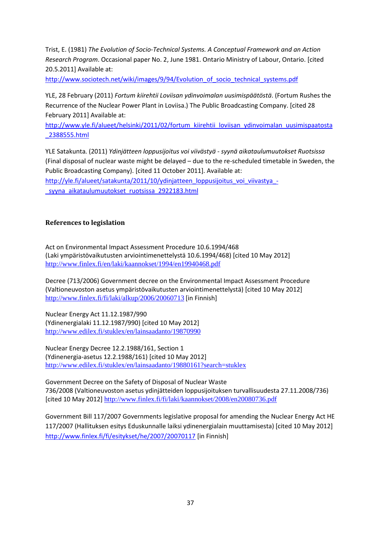Trist, E. (1981) *The Evolution of Socio-Technical Systems. A Conceptual Framework and an Action Research Program*. Occasional paper No. 2, June 1981. Ontario Ministry of Labour, Ontario. [cited 20.5.2011] Available at:

[http://www.sociotech.net/wiki/images/9/94/Evolution\\_of\\_socio\\_technical\\_systems.pdf](http://www.sociotech.net/wiki/images/9/94/Evolution_of_socio_technical_systems.pdf)

YLE, 28 February (2011) *Fortum kiirehtii Loviisan ydinvoimalan uusimispäätöstä*. (Fortum Rushes the Recurrence of the Nuclear Power Plant in Loviisa.) The Public Broadcasting Company. [cited 28 February 2011] Available at:

[http://www.yle.fi/alueet/helsinki/2011/02/fortum\\_kiirehtii\\_loviisan\\_ydinvoimalan\\_uusimispaatosta](http://www.yle.fi/alueet/helsinki/2011/02/fortum_kiirehtii_loviisan_ydinvoimalan_uusimispaatosta_2388555.html) [\\_2388555.html](http://www.yle.fi/alueet/helsinki/2011/02/fortum_kiirehtii_loviisan_ydinvoimalan_uusimispaatosta_2388555.html)

YLE Satakunta*.* (2011) *Ydinjätteen loppusijoitus voi viivästyä - syynä aikataulumuutokset Ruotsissa* (Final disposal of nuclear waste might be delayed – due to the re-scheduled timetable in Sweden, the Public Broadcasting Company). [cited 11 October 2011]. Available at: [http://yle.fi/alueet/satakunta/2011/10/ydinjatteen\\_loppusijoitus\\_voi\\_viivastya\\_](http://yle.fi/alueet/satakunta/2011/10/ydinjatteen_loppusijoitus_voi_viivastya_-_syyna_aikataulumuutokset_ruotsissa_2922183.html) syyna aikataulumuutokset ruotsissa 2922183.html

#### **References to legislation**

Act on Environmental Impact Assessment Procedure 10.6.1994/468 (Laki ympäristövaikutusten arviointimenettelystä 10.6.1994/468) [cited 10 May 2012] <http://www.finlex.fi/en/laki/kaannokset/1994/en19940468.pdf>

Decree (713/2006) Government decree on the Environmental Impact Assessment Procedure (Valtioneuvoston asetus ympäristövaikutusten arviointimenettelystä) [cited 10 May 2012] <http://www.finlex.fi/fi/laki/alkup/2006/20060713> [in Finnish]

Nuclear Energy Act 11.12.1987/990 (Ydinenergialaki 11.12.1987/990) [cited 10 May 2012] <http://www.edilex.fi/stuklex/en/lainsaadanto/19870990>

Nuclear Energy Decree 12.2.1988/161, Section 1 (Ydinenergia-asetus 12.2.1988/161) [cited 10 May 2012] <http://www.edilex.fi/stuklex/en/lainsaadanto/19880161?search=stuklex>

Government Decree on the Safety of Disposal of Nuclear Waste 736/2008 (Valtioneuvoston asetus ydinjätteiden loppusijoituksen turvallisuudesta 27.11.2008/736) [cited 10 May 2012] <http://www.finlex.fi/fi/laki/kaannokset/2008/en20080736.pdf>

Government Bill 117/2007 Governments legislative proposal for amending the Nuclear Energy Act HE 117/2007 (Hallituksen esitys Eduskunnalle laiksi ydinenergialain muuttamisesta) [cited 10 May 2012] <http://www.finlex.fi/fi/esitykset/he/2007/20070117> [in Finnish]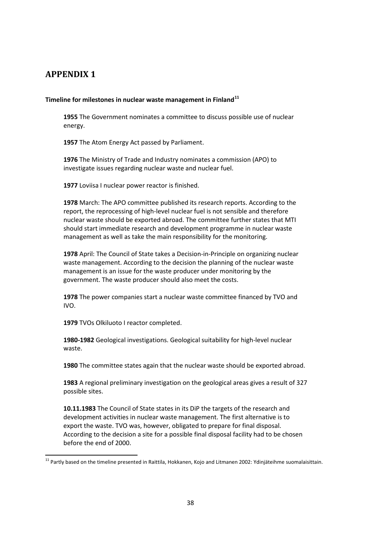## <span id="page-41-0"></span>**APPENDIX 1**

#### **Timeline for milestones in nuclear waste management in Finland[11](#page-41-1)**

**1955** The Government nominates a committee to discuss possible use of nuclear energy.

**1957** The Atom Energy Act passed by Parliament.

**1976** The Ministry of Trade and Industry nominates a commission (APO) to investigate issues regarding nuclear waste and nuclear fuel.

**1977** Loviisa I nuclear power reactor is finished.

**1978** March: The APO committee published its research reports. According to the report, the reprocessing of high-level nuclear fuel is not sensible and therefore nuclear waste should be exported abroad. The committee further states that MTI should start immediate research and development programme in nuclear waste management as well as take the main responsibility for the monitoring.

**1978** April: The Council of State takes a Decision-in-Principle on organizing nuclear waste management. According to the decision the planning of the nuclear waste management is an issue for the waste producer under monitoring by the government. The waste producer should also meet the costs.

**1978** The power companies start a nuclear waste committee financed by TVO and IVO.

**1979** TVOs Olkiluoto I reactor completed.

**1980-1982** Geological investigations. Geological suitability for high-level nuclear waste.

**1980** The committee states again that the nuclear waste should be exported abroad.

**1983** A regional preliminary investigation on the geological areas gives a result of 327 possible sites.

**10.11.1983** The Council of State states in its DiP the targets of the research and development activities in nuclear waste management. The first alternative is to export the waste. TVO was, however, obligated to prepare for final disposal. According to the decision a site for a possible final disposal facility had to be chosen before the end of 2000.

<span id="page-41-1"></span> $11$  Partlv based on the timeline presented in Raittila, Hokkanen, Kojo and Litmanen 2002: Ydinjäteihme suomalaisittain.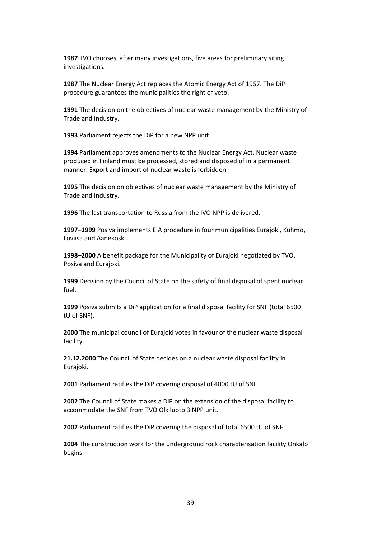**1987** TVO chooses, after many investigations, five areas for preliminary siting investigations.

**1987** The Nuclear Energy Act replaces the Atomic Energy Act of 1957. The DiP procedure guarantees the municipalities the right of veto.

**1991** The decision on the objectives of nuclear waste management by the Ministry of Trade and Industry.

**1993** Parliament rejects the DiP for a new NPP unit.

**1994** Parliament approves amendments to the Nuclear Energy Act. Nuclear waste produced in Finland must be processed, stored and disposed of in a permanent manner. Export and import of nuclear waste is forbidden.

**1995** The decision on objectives of nuclear waste management by the Ministry of Trade and Industry.

**1996** The last transportation to Russia from the IVO NPP is delivered.

**1997–1999** Posiva implements EIA procedure in four municipalities Eurajoki, Kuhmo, Loviisa and Äänekoski.

**1998–2000** A benefit package for the Municipality of Eurajoki negotiated by TVO, Posiva and Eurajoki.

**1999** Decision by the Council of State on the safety of final disposal of spent nuclear fuel.

**1999** Posiva submits a DiP application for a final disposal facility for SNF (total 6500 tU of SNF).

**2000** The municipal council of Eurajoki votes in favour of the nuclear waste disposal facility.

**21.12.2000** The Council of State decides on a nuclear waste disposal facility in Eurajoki.

**2001** Parliament ratifies the DiP covering disposal of 4000 tU of SNF.

**2002** The Council of State makes a DiP on the extension of the disposal facility to accommodate the SNF from TVO Olkiluoto 3 NPP unit.

**2002** Parliament ratifies the DiP covering the disposal of total 6500 tU of SNF.

**2004** The construction work for the underground rock characterisation facility Onkalo begins.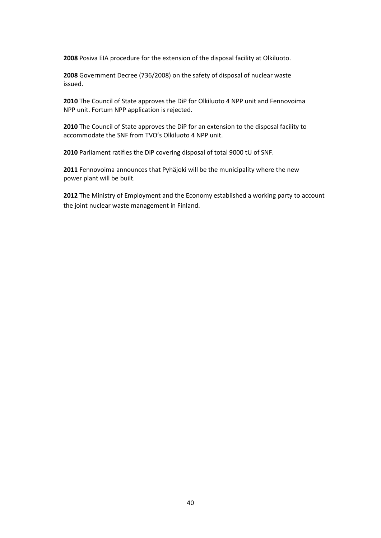Posiva EIA procedure for the extension of the disposal facility at Olkiluoto.

Government Decree (736/2008) on the safety of disposal of nuclear waste issued.

The Council of State approves the DiP for Olkiluoto 4 NPP unit and Fennovoima NPP unit. Fortum NPP application is rejected.

The Council of State approves the DiP for an extension to the disposal facility to accommodate the SNF from TVO's Olkiluoto 4 NPP unit.

Parliament ratifies the DiP covering disposal of total 9000 tU of SNF.

Fennovoima announces that Pyhäjoki will be the municipality where the new power plant will be built.

The Ministry of Employment and the Economy established a working party to account the joint nuclear waste management in Finland.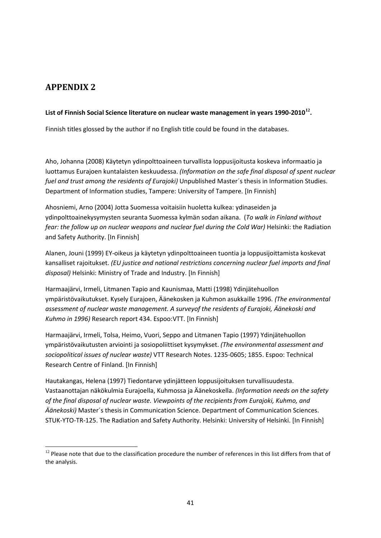## <span id="page-44-0"></span>**APPENDIX 2**

#### **List of Finnish Social Science literature on nuclear waste management in years 1990-2010[12](#page-44-1).**

Finnish titles glossed by the author if no English title could be found in the databases.

Aho, Johanna (2008) Käytetyn ydinpolttoaineen turvallista loppusijoitusta koskeva informaatio ja luottamus Eurajoen kuntalaisten keskuudessa. *(Information on the safe final disposal of spent nuclear fuel and trust among the residents of Eurajoki)* Unpublished Master´s thesis in Information Studies. Department of Information studies, Tampere: University of Tampere*.* [In Finnish]

Ahosniemi, Arno (2004) Jotta Suomessa voitaisiin huoletta kulkea: ydinaseiden ja ydinpolttoainekysymysten seuranta Suomessa kylmän sodan aikana. (*To walk in Finland without fear: the follow up on nuclear weapons and nuclear fuel during the Cold War)* Helsinki: the Radiation and Safety Authority. [In Finnish]

Alanen, Jouni (1999) EY-oikeus ja käytetyn ydinpolttoaineen tuontia ja loppusijoittamista koskevat kansalliset rajoitukset. *(EU justice and national restrictions concerning nuclear fuel imports and final disposal)* Helsinki: Ministry of Trade and Industry. [In Finnish]

Harmaajärvi, Irmeli, Litmanen Tapio and Kaunismaa, Matti (1998) Ydinjätehuollon ympäristövaikutukset. Kysely Eurajoen, Äänekosken ja Kuhmon asukkaille 1996*. (The environmental assessment of nuclear waste management. A surveyof the residents of Eurajoki, Äänekoski and Kuhmo in 1996)* Research report 434. Espoo:VTT. [In Finnish]

Harmaajärvi, Irmeli, Tolsa, Heimo, Vuori, Seppo and Litmanen Tapio (1997) Ydinjätehuollon ympäristövaikutusten arviointi ja sosiopoliittiset kysymykset. *(The environmental assessment and sociopolitical issues of nuclear waste)* VTT Research Notes. 1235-0605; 1855. Espoo: Technical Research Centre of Finland. [In Finnish]

Hautakangas, Helena (1997) Tiedontarve ydinjätteen loppusijoituksen turvallisuudesta. Vastaanottajan näkökulmia Eurajoella, Kuhmossa ja Äänekoskella. *(Information needs on the safety of the final disposal of nuclear waste. Viewpoints of the recipients from Eurajoki, Kuhmo, and Äänekoski)* Master´s thesis in Communication Science. Department of Communication Sciences. STUK-YTO-TR-125. The Radiation and Safety Authority. Helsinki: University of Helsinki. [In Finnish]

<span id="page-44-1"></span> $12$  Please note that due to the classification procedure the number of references in this list differs from that of the analysis.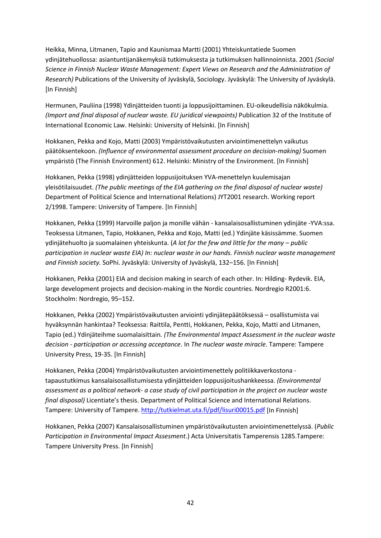Heikka, Minna, Litmanen, Tapio and Kaunismaa Martti (2001) Yhteiskuntatiede Suomen ydinjätehuollossa: asiantuntijanäkemyksiä tutkimuksesta ja tutkimuksen hallinnoinnista. 2001 *(Social Science in Finnish Nuclear Waste Management: Expert Views on Research and the Administration of Research)* Publications of the University of Jyväskylä, Sociology. Jyväskylä: The University of Jyväskylä. [In Finnish]

Hermunen, Pauliina (1998) Ydinjätteiden tuonti ja loppusijoittaminen. EU-oikeudellisia näkökulmia. *(Import and final disposal of nuclear waste. EU juridical viewpoints)* Publication 32 of the Institute of International Economic Law. Helsinki: University of Helsinki. [In Finnish]

Hokkanen, Pekka and Kojo, Matti (2003) Ympäristövaikutusten arviointimenettelyn vaikutus päätöksentekoon. *(Influence of environmental assessment procedure on decision-making)* Suomen ympäristö (The Finnish Environment) 612. Helsinki: Ministry of the Environment. [In Finnish]

Hokkanen, Pekka (1998) ydinjätteiden loppusijoituksen YVA-menettelyn kuulemisajan yleisötilaisuudet. *(The public meetings of the EIA gathering on the final disposal of nuclear waste)*  Department of Political Science and International Relations) JYT2001 research. Working report 2/1998. Tampere: University of Tampere. [In Finnish]

Hokkanen, Pekka (1999) Harvoille paljon ja monille vähän - kansalaisosallistuminen ydinjäte -YVA:ssa. Teoksessa Litmanen, Tapio, Hokkanen, Pekka and Kojo, Matti (ed.) Ydinjäte käsissämme. Suomen ydinjätehuolto ja suomalainen yhteiskunta. (*A lot for the few and little for the many – public participation in nuclear waste EIA) In: nuclear waste in our hands. Finnish nuclear waste management and Finnish society.* SoPhi. Jyväskylä: University of Jyväskylä, 132–156. [In Finnish]

Hokkanen, Pekka (2001) EIA and decision making in search of each other. In: Hilding- Rydevik. EIA, large development projects and decision-making in the Nordic countries. Nordregio R2001:6. Stockholm: Nordregio, 95–152.

Hokkanen, Pekka (2002) Ympäristövaikutusten arviointi ydinjätepäätöksessä – osallistumista vai hyväksynnän hankintaa? Teoksessa: Raittila, Pentti, Hokkanen, Pekka, Kojo, Matti and Litmanen, Tapio (ed.) Ydinjäteihme suomalaisittain*. (The Environmental Impact Assessment in the nuclear waste decision - participation or accessing acceptance*. In *The nuclear waste miracle.* Tampere: Tampere University Press, 19-35. [In Finnish]

Hokkanen, Pekka (2004) Ympäristövaikutusten arviointimenettely politiikkaverkostona tapaustutkimus kansalaisosallistumisesta ydinjätteiden loppusijoitushankkeessa. *(Environmental assessment as a political network- a case study of civil participation in the project on nuclear waste final disposal)* Licentiate's thesis. Department of Political Science and International Relations. Tampere: University of Tampere.<http://tutkielmat.uta.fi/pdf/lisuri00015.pdf> [In Finnish]

Hokkanen, Pekka (2007) Kansalaisosallistuminen ympäristövaikutusten arviointimenettelyssä. (*Public Participation in Environmental Impact Assesment*.) Acta Universitatis Tamperensis 1285.Tampere: Tampere University Press. [In Finnish]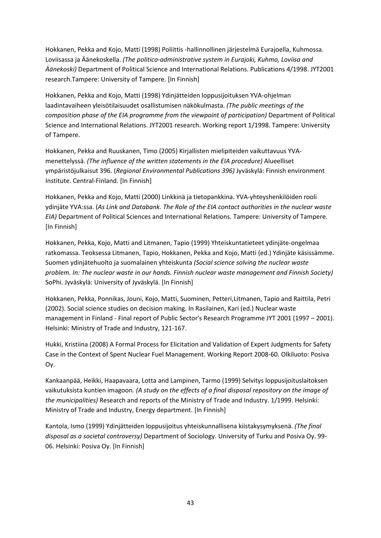Hokkanen, Pekka and Kojo, Matti (1998) Poliittis -hallinnollinen järjestelmä Eurajoella, Kuhmossa. Loviisassa ja Äänekoskella. *(The politico-administrative system in Eurajoki, Kuhmo, Loviisa and Äänekoski)* Department of Political Science and International Relations. Publications 4/1998. JYT2001 research.Tampere: University of Tampere. [In Finnish]

Hokkanen, Pekka and Kojo, Matti (1998) Ydinjätteiden loppusijoituksen YVA-ohjelman laadintavaiheen yleisötilaisuudet osallistumisen näkökulmasta. *(The public meetings of the composition phase of the EIA programme from the viewpoint of participation)* Department of Political Science and International Relations. JYT2001 research. Working report 1/1998. Tampere: University of Tampere.

Hokkanen, Pekka and Ruuskanen, Timo (2005) Kirjallisten mielipiteiden vaikuttavuus YVAmenettelyssä. *(The influence of the written statements in the EIA procedure)* Alueelliset ympäristöjulkaisut 396. (*Regional Environmental Publications 396)* Jyväskylä: Finnish environment Institute. Central-Finland. [In Finnish]

Hokkanen, Pekka and Kojo, Matti (2000) Linkkinä ja tietopankkina. YVA-yhteyshenkilöiden rooli ydinjäte YVA:ssa. (*As Link and Databank. The Role of the EIA contact authorities in the nuclear waste EIA)* Department of Political Sciences and International Relations. Tampere: University of Tampere. [In Finnish]

Hokkanen, Pekka, Kojo, Matti and Litmanen, Tapio (1999) Yhteiskuntatieteet ydinjäte-ongelmaa ratkomassa. Teoksessa Litmanen, Tapio, Hokkanen, Pekka and Kojo, Matti (ed.) Ydinjäte käsissämme. Suomen ydinjätehuolto ja suomalainen yhteiskunta *(Social science solving the nuclear waste problem. In: The nuclear waste in our hands. Finnish nuclear waste management and Finnish Society)* SoPhi. Jyväskylä: University of Jyväskylä. [In Finnish]

Hokkanen, Pekka, Ponnikas, Jouni, Kojo, Matti, Suominen, Petteri,Litmanen, Tapio and Raittila, Petri (2002). Social science studies on decision making. In Rasilainen, Kari (ed.) Nuclear waste management in Finland - Final report of Public Sector's Research Programme JYT 2001 (1997 – 2001). Helsinki: Ministry of Trade and Industry, 121-167.

Hukki, Kristiina (2008) A Formal Process for Elicitation and Validation of Expert Judgments for Safety Case in the Context of Spent Nuclear Fuel Management. Working Report 2008-60. Olkiluoto: Posiva Oy.

Kankaanpää, Heikki, Haapavaara, Lotta and Lampinen, Tarmo (1999) Selvitys loppusijoituslaitoksen vaikutuksista kuntien imagoon*. (A study on the effects of a final disposal repository on the image of the municipalities)* Research and reports of the Ministry of Trade and Industry. 1/1999. Helsinki: Ministry of Trade and Industry, Energy department. [In Finnish]

Kantola, Ismo (1999) Ydinjätteiden loppusijoitus yhteiskunnallisena kiistakysymyksenä. *(The final disposal as a societal controversy)* Department of Sociology. University of Turku and Posiva Oy. 99- 06. Helsinki: Posiva Oy. [In Finnish]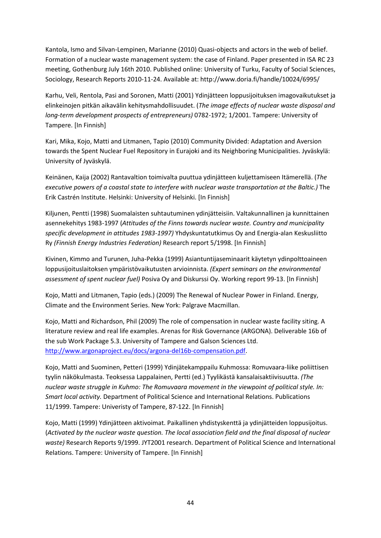Kantola, Ismo and Silvan-Lempinen, Marianne (2010) Quasi-objects and actors in the web of belief. Formation of a nuclear waste management system: the case of Finland. Paper presented in ISA RC 23 meeting, Gothenburg July 16th 2010. Published online: University of Turku, Faculty of Social Sciences, Sociology, Research Reports 2010-11-24. Available at: http://www.doria.fi/handle/10024/6995/

Karhu, Veli, Rentola, Pasi and Soronen, Matti (2001) Ydinjätteen loppusijoituksen imagovaikutukset ja elinkeinojen pitkän aikavälin kehitysmahdollisuudet. (*The image effects of nuclear waste disposal and long-term development prospects of entrepreneurs)* 0782-1972; 1/2001. Tampere: University of Tampere. [In Finnish]

Kari, Mika, Kojo, Matti and Litmanen, Tapio (2010) Community Divided: Adaptation and Aversion towards the Spent Nuclear Fuel Repository in Eurajoki and its Neighboring Municipalities. Jyväskylä: University of Jyväskylä.

Keinänen, Kaija (2002) Rantavaltion toimivalta puuttua ydinjätteen kuljettamiseen Itämerellä. (*The executive powers of a coastal state to interfere with nuclear waste transportation at the Baltic.)* The Erik Castrén Institute. Helsinki: University of Helsinki. [In Finnish]

Kiljunen, Pentti (1998) Suomalaisten suhtautuminen ydinjätteisiin. Valtakunnallinen ja kunnittainen asennekehitys 1983-1997 (*Attitudes of the Finns towards nuclear waste. Country and municipality specific development in attitudes 1983-1997)* Yhdyskuntatutkimus Oy and Energia-alan Keskusliitto Ry *(Finnish Energy Industries Federation)* Research report 5/1998. [In Finnish]

Kivinen, Kimmo and Turunen, Juha-Pekka (1999) Asiantuntijaseminaarit käytetyn ydinpolttoaineen loppusijoituslaitoksen ympäristövaikutusten arvioinnista. *(Expert seminars on the environmental assessment of spent nuclear fuel)* Posiva Oy and Diskurssi Oy. Working report 99-13. [In Finnish]

Kojo, Matti and Litmanen, Tapio (eds.) (2009) The Renewal of Nuclear Power in Finland. Energy, Climate and the Environment Series. New York: Palgrave Macmillan.

Kojo, Matti and Richardson, Phil (2009) The role of compensation in nuclear waste facility siting. A literature review and real life examples. Arenas for Risk Governance (ARGONA). Deliverable 16b of the sub Work Package 5.3. University of Tampere and Galson Sciences Ltd. [http://www.argonaproject.eu/docs/argona-del16b-compensation.pdf.](http://www.argonaproject.eu/docs/argona-del16b-compensation.pdf)

Kojo, Matti and Suominen, Petteri (1999) Ydinjätekamppailu Kuhmossa: Romuvaara-liike poliittisen tyylin näkökulmasta. Teoksessa Lappalainen, Pertti (ed.) Tyylikästä kansalaisaktiivisuutta. *(The nuclear waste struggle in Kuhmo: The Romuvaara movement in the viewpoint of political style. In: Smart local activity.* Department of Political Science and International Relations. Publications 11/1999. Tampere: Univeristy of Tampere, 87-122. [In Finnish]

Kojo, Matti (1999) Ydinjätteen aktivoimat. Paikallinen yhdistyskenttä ja ydinjätteiden loppusijoitus. (*Activated by the nuclear waste question. The local association field and the final disposal of nuclear waste)* Research Reports 9/1999. JYT2001 research. Department of Political Science and International Relations. Tampere: University of Tampere. [In Finnish]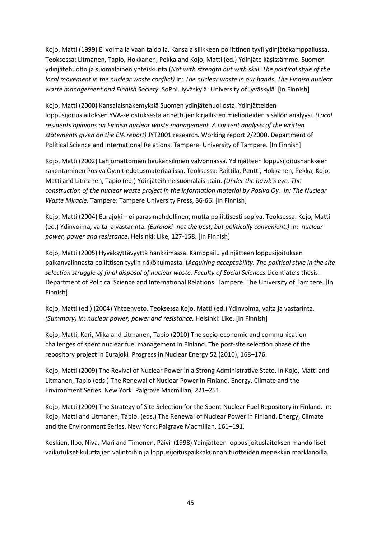Kojo, Matti (1999) Ei voimalla vaan taidolla. Kansalaisliikkeen poliittinen tyyli ydinjätekamppailussa. Teoksessa: Litmanen, Tapio, Hokkanen, Pekka and Kojo, Matti (ed.) Ydinjäte käsissämme. Suomen ydinjätehuolto ja suomalainen yhteiskunta (*Not with strength but with skill. The political style of the local movement in the nuclear waste conflict)* In: *The nuclear waste in our hands. The Finnish nuclear waste management and Finnish Society*. SoPhi. Jyväskylä: University of Jyväskylä. [In Finnish]

Kojo, Matti (2000) Kansalaisnäkemyksiä Suomen ydinjätehuollosta. Ydinjätteiden loppusijoituslaitoksen YVA-selostuksesta annettujen kirjallisten mielipiteiden sisällön analyysi. *(Local residents opinions on Finnish nuclear waste management. A content analysis of the written statements given on the EIA report)* JYT2001 research. Working report 2/2000. Department of Political Science and International Relations. Tampere: University of Tampere. [In Finnish]

Kojo, Matti (2002) Lahjomattomien haukansilmien valvonnassa. Ydinjätteen loppusijoitushankkeen rakentaminen Posiva Oy:n tiedotusmateriaalissa. Teoksessa: Raittila, Pentti, Hokkanen, Pekka, Kojo, Matti and Litmanen, Tapio (ed.) Ydinjäteihme suomalaisittain. *(Under the hawk´s eye. The construction of the nuclear waste project in the information material by Posiva Oy. In: The Nuclear Waste Miracle.* Tampere: Tampere University Press, 36-66. [In Finnish]

Kojo, Matti (2004) Eurajoki – ei paras mahdollinen, mutta poliittisesti sopiva. Teoksessa: Kojo, Matti (ed.) Ydinvoima, valta ja vastarinta. *(Eurajoki- not the best, but politically convenient.)* In: *nuclear power, power and resistance*. Helsinki: Like, 127-158. [In Finnish]

Kojo, Matti (2005) Hyväksyttävyyttä hankkimassa. Kamppailu ydinjätteen loppusijoituksen paikanvalinnasta poliittisen tyylin näkökulmasta. (*Acquiring acceptability. The political style in the site selection struggle of final disposal of nuclear waste. Faculty of Social Sciences.*Licentiate's thesis. Department of Political Science and International Relations. Tampere. The University of Tampere. [In Finnish]

Kojo, Matti (ed.) (2004) Yhteenveto. Teoksessa Kojo, Matti (ed.) Ydinvoima, valta ja vastarinta. *(Summary) In: nuclear power, power and resistance.* Helsinki: Like. [In Finnish]

Kojo, Matti, Kari, Mika and Litmanen, Tapio (2010) The socio-economic and communication challenges of spent nuclear fuel management in Finland. The post-site selection phase of the repository project in Eurajoki*.* Progress in Nuclear Energy 52 (2010), 168–176.

Kojo, Matti (2009) The Revival of Nuclear Power in a Strong Administrative State. In Kojo, Matti and Litmanen, Tapio (eds.) The Renewal of Nuclear Power in Finland. Energy, Climate and the Environment Series. New York: Palgrave Macmillan, 221–251.

Kojo, Matti (2009) The Strategy of Site Selection for the Spent Nuclear Fuel Repository in Finland. In: Kojo, Matti and Litmanen, Tapio. (eds.) The Renewal of Nuclear Power in Finland. Energy, Climate and the Environment Series. New York: Palgrave Macmillan, 161–191.

Koskien, Ilpo, Niva, Mari and Timonen, Päivi (1998) Ydinjätteen loppusijoituslaitoksen mahdolliset vaikutukset kuluttajien valintoihin ja loppusijoituspaikkakunnan tuotteiden menekkiin markkinoilla*.*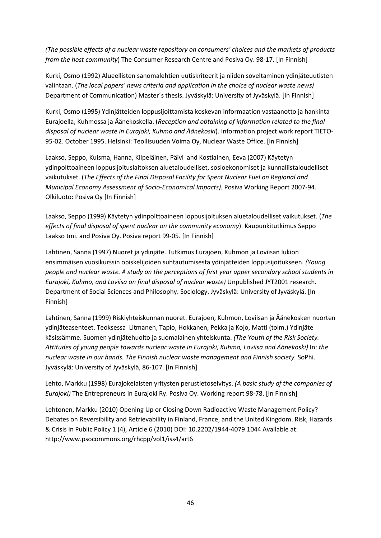*(The possible effects of a nuclear waste repository on consumers' choices and the markets of products from the host community*) The Consumer Research Centre and Posiva Oy. 98-17. [In Finnish]

Kurki, Osmo (1992) Alueellisten sanomalehtien uutiskriteerit ja niiden soveltaminen ydinjäteuutisten valintaan. (*The local papers' news criteria and application in the choice of nuclear waste news)* Department of Communication) Master´s thesis. Jyväskylä: University of Jyväskylä. [In Finnish]

Kurki, Osmo (1995) Ydinjätteiden loppusijoittamista koskevan informaation vastaanotto ja hankinta Eurajoella, Kuhmossa ja Äänekoskella. (*Reception and obtaining of information related to the final disposal of nuclear waste in Eurajoki, Kuhmo and Äänekoski*). Information project work report TIETO-95-02. October 1995. Helsinki: Teollisuuden Voima Oy, Nuclear Waste Office. [In Finnish]

Laakso, Seppo, Kuisma, Hanna, Kilpeläinen, Päivi and Kostiainen, Eeva (2007) Käytetyn ydinpolttoaineen loppusijoituslaitoksen aluetaloudelliset, sosioekonomiset ja kunnallistaloudelliset vaikutukset. (*The Effects of the Final Disposal Facility for Spent Nuclear Fuel on Regional and Municipal Economy Assessment of Socio-Economical Impacts).* Posiva Working Report 2007-94. Olkiluoto: Posiva Oy [In Finnish]

Laakso, Seppo (1999) Käytetyn ydinpolttoaineen loppusijoituksen aluetaloudelliset vaikutukset. (*The effects of final disposal of spent nuclear on the community economy*). Kaupunkitutkimus Seppo Laakso tmi. and Posiva Oy. Posiva report 99-05. [In Finnish]

Lahtinen, Sanna (1997) Nuoret ja ydinjäte. Tutkimus Eurajoen, Kuhmon ja Loviisan lukion ensimmäisen vuosikurssin opiskelijoiden suhtautumisesta ydinjätteiden loppusijoitukseen. *(Young people and nuclear waste. A study on the perceptions of first year upper secondary school students in Eurajoki, Kuhmo, and Loviisa on final disposal of nuclear waste)* Unpublished JYT2001 research. Department of Social Sciences and Philosophy. Sociology. Jyväskylä: University of Jyväskylä. [In Finnish]

Lahtinen, Sanna (1999) Riskiyhteiskunnan nuoret. Eurajoen, Kuhmon, Loviisan ja Äänekosken nuorten ydinjäteasenteet. Teoksessa Litmanen, Tapio, Hokkanen, Pekka ja Kojo, Matti (toim.) Ydinjäte käsissämme. Suomen ydinjätehuolto ja suomalainen yhteiskunta. *(The Youth of the Risk Society. Attitudes of young people towards nuclear waste in Eurajoki, Kuhmo, Loviisa and Äänekoski)* In: *the nuclear waste in our hands. The Finnish nuclear waste management and Finnish society.* SoPhi. Jyväskylä: University of Jyväskylä, 86-107. [In Finnish]

Lehto, Markku (1998) Eurajokelaisten yritysten perustietoselvitys. *(A basic study of the companies of Eurajoki)* The Entrepreneurs in Eurajoki Ry. Posiva Oy. Working report 98-78. [In Finnish]

Lehtonen, Markku (2010) Opening Up or Closing Down Radioactive Waste Management Policy? Debates on Reversibility and Retrievability in Finland, France, and the United Kingdom. Risk, Hazards & Crisis in Public Policy 1 (4), Article 6 (2010) DOI: 10.2202/1944-4079.1044 Available at: http://www.psocommons.org/rhcpp/vol1/iss4/art6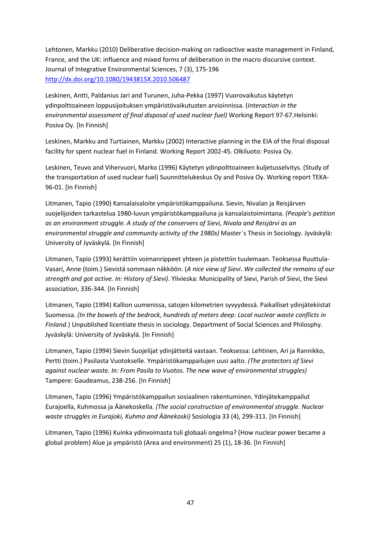Lehtonen, Markku (2010) Deliberative decision-making on radioactive waste management in Finland, France, and the UK: influence and mixed forms of deliberation in the macro discursive context. Journal of Integrative Environmental Sciences, 7 (3), 175-196 <http://dx.doi.org/10.1080/1943815X.2010.506487>

Leskinen, Antti, Paldanius Jari and Turunen, Juha-Pekka (1997) Vuorovaikutus käytetyn ydinpolttoaineen loppusijoituksen ympäristövaikutusten arvioinnissa. (*Interaction in the environmental assessment of final disposal of used nuclear fuel)* Working Report 97-67.Helsinki: Posiva Oy. [In Finnish]

Leskinen, Markku and Turtiainen, Markku (2002) Interactive planning in the EIA of the final disposal facility for spent nuclear fuel in Finland. Working Report 2002-45. Olkiluoto: Posiva Oy.

Leskinen, Teuvo and Vihervuori, Marko (1996) Käytetyn ydinpolttoaineen kuljetusselvitys. (Study of the transportation of used nuclear fuel) Suunnittelukeskus Oy and Posiva Oy. Working report TEKA-96-01. [In Finnish]

Litmanen, Tapio (1990) Kansalaisaloite ympäristökamppailuna. Sievin, Nivalan ja Reisjärven suojelijoiden tarkastelua 1980-luvun ympäristökamppailuna ja kansalaistoimintana. *(People's petition as an environment struggle. A study of the conservers of Sievi, Nivala and Reisjärvi as an environmental struggle and community activity of the 1980s)* Master´s Thesis in Sociology. Jyväskylä: University of Jyväskylä. [In Finnish]

Litmanen, Tapio (1993) kerättiin voimanrippeet yhteen ja pistettiin tuulemaan. Teoksessa Ruuttula-Vasari, Anne (toim.) Sievistä sommaan näkköön. (*A nice view of Sievi*. *We collected the remains of our strength and got active. In: History of Sievi)*. Ylivieska: Municipality of Sievi, Parish of Sievi, the Sievi association, 336-344. [In Finnish]

Litmanen, Tapio (1994) Kallion uumenissa, satojen kilometrien syvyydessä. Paikalliset ydinjätekiistat Suomessa. *(In the bowels of the bedrock, hundreds of meters deep: Local nuclear waste conflicts in Finland.*) Unpublished licentiate thesis in sociology. Department of Social Sciences and Philosphy. Jyväskylä: University of Jyväskylä. [In Finnish]

Litmanen, Tapio (1994) Sievin Suojelijat ydinjätteitä vastaan. Teoksessa: Lehtinen, Ari ja Rannikko, Pertti (toim.) Pasilasta Vuotokselle. Ympäristökamppailujen uusi aalto. *(The protectors of Sievi against nuclear waste. In: From Pasila to Vuotos. The new wave of environmental struggles)* Tampere: Gaudeamus, 238-256. [In Finnish]

Litmanen, Tapio (1996) Ympäristökamppailun sosiaalinen rakentuminen. Ydinjätekamppailut Eurajoella, Kuhmossa ja Äänekoskella. *(The social construction of environmental struggle. Nuclear waste struggles in Eurajoki, Kuhmo and Äänekoski)* Sosiologia 33 (4), 299-311. [In Finnish]

Litmanen, Tapio (1996) Kuinka ydinvoimasta tuli globaali ongelma? (How nuclear power became a global problem) Alue ja ympäristö (Area and environment) 25 (1), 18-36. [In Finnish]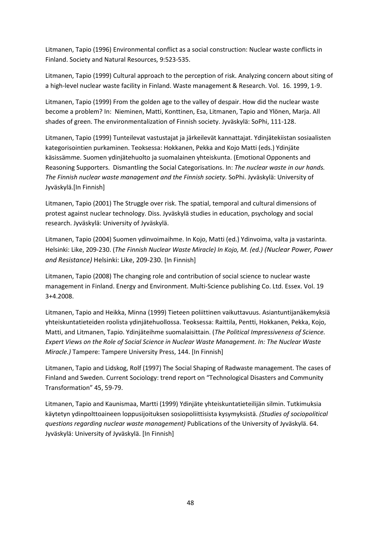Litmanen, Tapio (1996) Environmental conflict as a social construction: Nuclear waste conflicts in Finland. Society and Natural Resources, 9:523-535.

Litmanen, Tapio (1999) Cultural approach to the perception of risk. Analyzing concern about siting of a high-level nuclear waste facility in Finland. Waste management & Research. Vol. 16. 1999, 1-9.

Litmanen, Tapio (1999) From the golden age to the valley of despair. How did the nuclear waste become a problem? In: Nieminen, Matti, Konttinen, Esa, Litmanen, Tapio and Ylönen, Marja. All shades of green. The environmentalization of Finnish society. Jyväskylä: SoPhi, 111-128.

Litmanen, Tapio (1999) Tunteilevat vastustajat ja järkeilevät kannattajat. Ydinjätekiistan sosiaalisten kategorisointien purkaminen. Teoksessa: Hokkanen, Pekka and Kojo Matti (eds.) Ydinjäte käsissämme. Suomen ydinjätehuolto ja suomalainen yhteiskunta. (Emotional Opponents and Reasoning Supporters. Dismantling the Social Categorisations. In: *The nuclear waste in our hands. The Finnish nuclear waste management and the Finnish society.* SoPhi. Jyväskylä: University of Jyväskylä.[In Finnish]

Litmanen, Tapio (2001) The Struggle over risk. The spatial, temporal and cultural dimensions of protest against nuclear technology. Diss. Jyväskylä studies in education, psychology and social research. Jyväskylä: University of Jyväskylä.

Litmanen, Tapio (2004) Suomen ydinvoimaihme. In Kojo, Matti (ed.) Ydinvoima, valta ja vastarinta. Helsinki: Like, 209-230. (*The Finnish Nuclear Waste Miracle) In Kojo, M. (ed.) (Nuclear Power, Power and Resistance)* Helsinki: Like, 209-230. [In Finnish]

Litmanen, Tapio (2008) The changing role and contribution of social science to nuclear waste management in Finland. Energy and Environment. Multi-Science publishing Co. Ltd. Essex. Vol. 19 3+4.2008.

Litmanen, Tapio and Heikka, Minna (1999) Tieteen poliittinen vaikuttavuus. Asiantuntijanäkemyksiä yhteiskuntatieteiden roolista ydinjätehuollossa. Teoksessa: Raittila, Pentti, Hokkanen, Pekka, Kojo, Matti, and Litmanen, Tapio. Ydinjäteihme suomalaisittain. (*The Political Impressiveness of Science. Expert Views on the Role of Social Science in Nuclear Waste Management. In: The Nuclear Waste Miracle.)* Tampere: Tampere University Press, 144. [In Finnish]

Litmanen, Tapio and Lidskog, Rolf (1997) The Social Shaping of Radwaste management. The cases of Finland and Sweden. Current Sociology: trend report on "Technological Disasters and Community Transformation" 45, 59-79.

Litmanen, Tapio and Kaunismaa, Martti (1999) Ydinjäte yhteiskuntatieteilijän silmin. Tutkimuksia käytetyn ydinpolttoaineen loppusijoituksen sosiopoliittisista kysymyksistä. *(Studies of sociopolitical questions regarding nuclear waste management)* Publications of the University of Jyväskylä. 64. Jyväskylä: University of Jyväskylä. [In Finnish]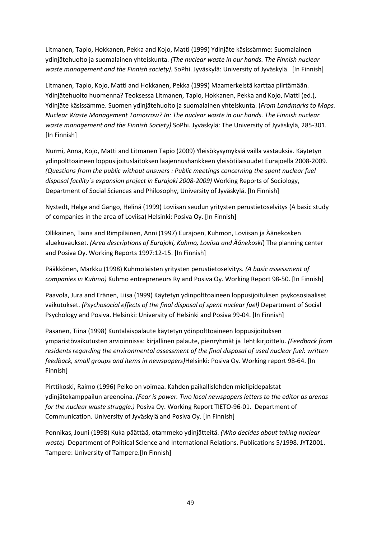Litmanen, Tapio, Hokkanen, Pekka and Kojo, Matti (1999) Ydinjäte käsissämme: Suomalainen ydinjätehuolto ja suomalainen yhteiskunta. *(The nuclear waste in our hands. The Finnish nuclear waste management and the Finnish society).* SoPhi. Jyväskylä: University of Jyväskylä. [In Finnish]

Litmanen, Tapio, Kojo, Matti and Hokkanen, Pekka (1999) Maamerkeistä karttaa piirtämään. Ydinjätehuolto huomenna? Teoksessa Litmanen, Tapio, Hokkanen, Pekka and Kojo, Matti (ed.), Ydinjäte käsissämme. Suomen ydinjätehuolto ja suomalainen yhteiskunta. (*From Landmarks to Maps. Nuclear Waste Management Tomorrow? In: The nuclear waste in our hands. The Finnish nuclear waste management and the Finnish Society)* SoPhi. Jyväskylä: The University of Jyväskylä, 285-301. [In Finnish]

Nurmi, Anna, Kojo, Matti and Litmanen Tapio (2009) Yleisökysymyksiä vailla vastauksia. Käytetyn ydinpolttoaineen loppusijoituslaitoksen laajennushankkeen yleisötilaisuudet Eurajoella 2008-2009. *(Questions from the public without answers : Public meetings concerning the spent nuclear fuel disposal facility´s expansion project in Eurajoki 2008-2009)* Working Reports of Sociology, Department of Social Sciences and Philosophy, University of Jyväskylä. [In Finnish]

Nystedt, Helge and Gango, Helinä (1999) Loviisan seudun yritysten perustietoselvitys (A basic study of companies in the area of Loviisa) Helsinki: Posiva Oy. [In Finnish]

Ollikainen, Taina and Rimpiläinen, Anni (1997) Eurajoen, Kuhmon, Loviisan ja Äänekosken aluekuvaukset. *(Area descriptions of Eurajoki, Kuhmo, Loviisa and Äänekoski*) The planning center and Posiva Oy. Working Reports 1997:12-15. [In Finnish]

Pääkkönen, Markku (1998) Kuhmolaisten yritysten perustietoselvitys. *(A basic assessment of companies in Kuhmo)* Kuhmo entrepreneurs Ry and Posiva Oy. Working Report 98-50. [In Finnish]

Paavola, Jura and Eränen, Liisa (1999) Käytetyn ydinpolttoaineen loppusijoituksen psykososiaaliset vaikutukset. *(Psychosocial effects of the final disposal of spent nuclear fuel)* Department of Social Psychology and Posiva. Helsinki: University of Helsinki and Posiva 99-04. [In Finnish]

Pasanen, Tiina (1998) Kuntalaispalaute käytetyn ydinpolttoaineen loppusijoituksen ympäristövaikutusten arvioinnissa: kirjallinen palaute, pienryhmät ja lehtikirjoittelu. *(Feedback from residents regarding the environmental assessment of the final disposal of used nuclear fuel: written feedback, small groups and items in newspapers)*Helsinki: Posiva Oy. Working report 98-64. [In Finnish]

Pirttikoski, Raimo (1996) Pelko on voimaa. Kahden paikallislehden mielipidepalstat ydinjätekamppailun areenoina. *(Fear is power. Two local newspapers letters to the editor as arenas for the nuclear waste struggle.)* Posiva Oy. Working Report TIETO-96-01. Department of Communication. University of Jyväskylä and Posiva Oy. [In Finnish]

Ponnikas, Jouni (1998) Kuka päättää, otammeko ydinjätteitä. *(Who decides about taking nuclear waste)* Department of Political Science and International Relations. Publications 5/1998. JYT2001. Tampere: University of Tampere.[In Finnish]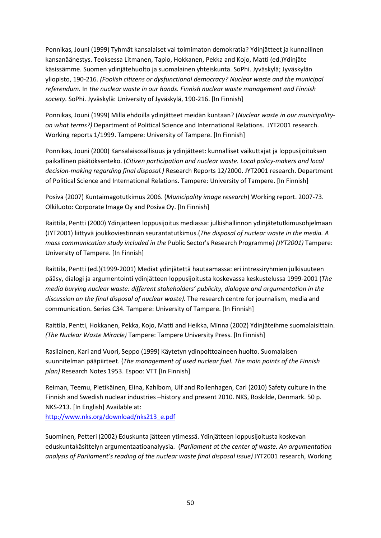Ponnikas, Jouni (1999) Tyhmät kansalaiset vai toimimaton demokratia? Ydinjätteet ja kunnallinen kansanäänestys. Teoksessa Litmanen, Tapio, Hokkanen, Pekka and Kojo, Matti (ed.)Ydinjäte käsissämme. Suomen ydinjätehuolto ja suomalainen yhteiskunta. SoPhi. Jyväskylä; Jyväskylän yliopisto, 190-216. *(Foolish citizens or dysfunctional democracy? Nuclear waste and the municipal referendum.* In *the nuclear waste in our hands. Finnish nuclear waste management and Finnish society.* SoPhi. Jyväskylä: University of Jyväskylä, 190-216. [In Finnish]

Ponnikas, Jouni (1999) Millä ehdoilla ydinjätteet meidän kuntaan? (*Nuclear waste in our municipalityon what terms?)* Department of Political Science and International Relations. JYT2001 research. Working reports 1/1999. Tampere: University of Tampere. [In Finnish]

Ponnikas, Jouni (2000) Kansalaisosallisuus ja ydinjätteet: kunnalliset vaikuttajat ja loppusijoituksen paikallinen päätöksenteko. (*Citizen participation and nuclear waste. Local policy-makers and local decision-making regarding final disposal.)* Research Reports 12/2000. JYT2001 research. Department of Political Science and International Relations. Tampere: University of Tampere. [In Finnish]

Posiva (2007) Kuntaimagotutkimus 2006. (*Municipality image research*) Working report. 2007-73. Olkiluoto: Corporate Image Oy and Posiva Oy. [In Finnish]

Raittila, Pentti (2000) Ydinjätteen loppusijoitus mediassa: julkishallinnon ydinjätetutkimusohjelmaan (JYT2001) liittyvä joukkoviestinnän seurantatutkimus.(*The disposal of nuclear waste in the media. A mass communication study included in the* Public Sector's Research Programme*) (JYT2001)* Tampere: University of Tampere. [In Finnish]

Raittila, Pentti (ed.)(1999-2001) Mediat ydinjätettä hautaamassa: eri intressiryhmien julkisuuteen pääsy, dialogi ja argumentointi ydinjätteen loppusijoitusta koskevassa keskustelussa 1999-2001 (*The media burying nuclear waste: different stakeholders' publicity, dialogue and argumentation in the discussion on the final disposal of nuclear waste).* The research centre for journalism, media and communication. Series C34. Tampere: University of Tampere. [In Finnish]

Raittila, Pentti, Hokkanen, Pekka, Kojo, Matti and Heikka, Minna (2002) Ydinjäteihme suomalaisittain. *(The Nuclear Waste Miracle)* Tampere: Tampere University Press. [In Finnish]

Rasilainen, Kari and Vuori, Seppo (1999) Käytetyn ydinpolttoaineen huolto. Suomalaisen suunnitelman pääpiirteet. (*The management of used nuclear fuel. The main points of the Finnish plan)* Research Notes 1953. Espoo: VTT [In Finnish]

Reiman, Teemu, Pietikäinen, Elina, Kahlbom, Ulf and Rollenhagen, Carl (2010) Safety culture in the Finnish and Swedish nuclear industries –history and present 2010. NKS, Roskilde, Denmark. 50 p. NKS-213. [In English] Available at: [http://www.nks.org/download/nks213\\_e.pdf](http://www.nks.org/download/nks213_e.pdf)

Suominen, Petteri (2002) Eduskunta jätteen ytimessä. Ydinjätteen loppusijoitusta koskevan eduskuntakäsittelyn argumentaatioanalyysia. (*Parliament at the center of waste. An argumentation analysis of Parliament's reading of the nuclear waste final disposal issue)* JYT2001 research, Working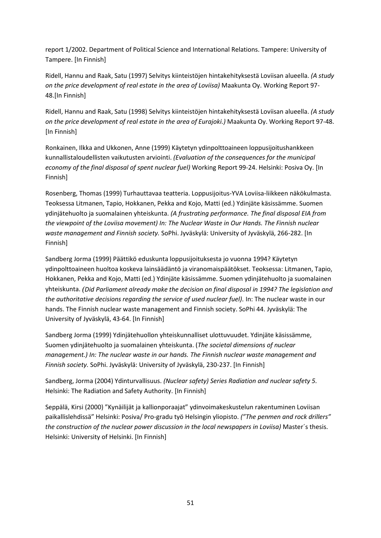report 1/2002. Department of Political Science and International Relations. Tampere: University of Tampere. [In Finnish]

Ridell, Hannu and Raak, Satu (1997) Selvitys kiinteistöjen hintakehityksestä Loviisan alueella. *(A study on the price development of real estate in the area of Loviisa)* Maakunta Oy. Working Report 97- 48.[In Finnish]

Ridell, Hannu and Raak, Satu (1998) Selvitys kiinteistöjen hintakehityksestä Loviisan alueella. *(A study on the price development of real estate in the area of Eurajoki.)* Maakunta Oy. Working Report 97-48. [In Finnish]

Ronkainen, Ilkka and Ukkonen, Anne (1999) Käytetyn ydinpolttoaineen loppusijoitushankkeen kunnallistaloudellisten vaikutusten arviointi. *(Evaluation of the consequences for the municipal economy of the final disposal of spent nuclear fuel)* Working Report 99-24. Helsinki: Posiva Oy. [In Finnish]

Rosenberg, Thomas (1999) Turhauttavaa teatteria. Loppusijoitus-YVA Loviisa-liikkeen näkökulmasta. Teoksessa Litmanen, Tapio, Hokkanen, Pekka and Kojo, Matti (ed.) Ydinjäte käsissämme. Suomen ydinjätehuolto ja suomalainen yhteiskunta. *(A frustrating performance. The final disposal EIA from the viewpoint of the Loviisa movement) In: The Nuclear Waste in Our Hands. The Finnish nuclear waste management and Finnish society.* SoPhi. Jyväskylä: University of Jyväskylä, 266-282. [In Finnish]

Sandberg Jorma (1999) Päättikö eduskunta loppusijoituksesta jo vuonna 1994? Käytetyn ydinpolttoaineen huoltoa koskeva lainsäädäntö ja viranomaispäätökset. Teoksessa: Litmanen, Tapio, Hokkanen, Pekka and Kojo, Matti (ed.) Ydinjäte käsissämme. Suomen ydinjätehuolto ja suomalainen yhteiskunta. *(Did Parliament already make the decision on final disposal in 1994? The legislation and the authoritative decisions regarding the service of used nuclear fuel).* In: The nuclear waste in our hands. The Finnish nuclear waste management and Finnish society. SoPhi 44. Jyväskylä: The University of Jyväskylä, 43-64. [In Finnish]

Sandberg Jorma (1999) Ydinjätehuollon yhteiskunnalliset ulottuvuudet. Ydinjäte käsissämme, Suomen ydinjätehuolto ja suomalainen yhteiskunta. (*The societal dimensions of nuclear management.) In: The nuclear waste in our hands. The Finnish nuclear waste management and Finnish society.* SoPhi. Jyväskylä: University of Jyväskylä, 230-237. [In Finnish]

Sandberg, Jorma (2004) Ydinturvallisuus. *(Nuclear safety) Series Radiation and nuclear safety 5.*  Helsinki: The Radiation and Safety Authority. [In Finnish]

Seppälä, Kirsi (2000) "Kynäilijät ja kallionporaajat" ydinvoimakeskustelun rakentuminen Loviisan paikallislehdissä" Helsinki: Posiva/ Pro-gradu työ Helsingin yliopisto. *("The penmen and rock drillers" the construction of the nuclear power discussion in the local newspapers in Loviisa)* Master´s thesis. Helsinki: University of Helsinki. [In Finnish]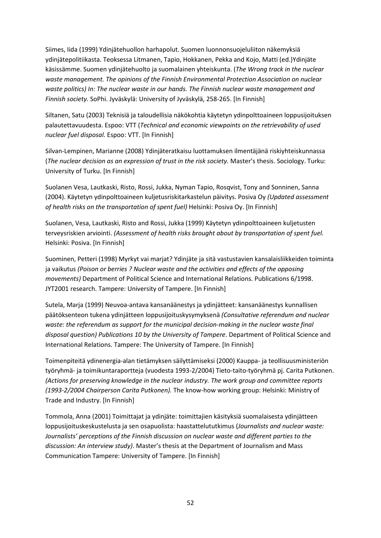Siimes, Iida (1999) Ydinjätehuollon harhapolut. Suomen luonnonsuojeluliiton näkemyksiä ydinjätepolitiikasta. Teoksessa Litmanen, Tapio, Hokkanen, Pekka and Kojo, Matti (ed.)Ydinjäte käsissämme. Suomen ydinjätehuolto ja suomalainen yhteiskunta. (*The Wrong track in the nuclear waste management. The opinions of the Finnish Environmental Protection Association on nuclear waste politics) In: The nuclear waste in our hands. The Finnish nuclear waste management and Finnish society.* SoPhi. Jyväskylä: University of Jyväskylä, 258-265. [In Finnish]

Siltanen, Satu (2003) Teknisiä ja taloudellisia näkökohtia käytetyn ydinpolttoaineen loppusijoituksen palautettavuudesta. Espoo: VTT (*Technical and economic viewpoints on the retrievability of used nuclear fuel disposal.* Espoo: VTT. [In Finnish]

Silvan-Lempinen, Marianne (2008) Ydinjäteratkaisu luottamuksen ilmentäjänä riskiyhteiskunnassa (*The nuclear decision as an expression of trust in the risk society.* Master's thesis. Sociology. Turku: University of Turku. [In Finnish]

Suolanen Vesa, Lautkaski, Risto, Rossi, Jukka, Nyman Tapio, Rosqvist, Tony and Sonninen, Sanna (2004). Käytetyn ydinpolttoaineen kuljetusriskitarkastelun päivitys. Posiva Oy *(Updated assessment of health risks on the transportation of spent fuel)* Helsinki: Posiva Oy. [In Finnish]

Suolanen, Vesa, Lautkaski, Risto and Rossi, Jukka (1999) Käytetyn ydinpolttoaineen kuljetusten terveysriskien arviointi. *(Assessment of health risks brought about by transportation of spent fuel.*  Helsinki: Posiva. [In Finnish]

Suominen, Petteri (1998) Myrkyt vai marjat? Ydinjäte ja sitä vastustavien kansalaisliikkeiden toiminta ja vaikutus *(Poison or berries ? Nuclear waste and the activities and effects of the opposing movements)* Department of Political Science and International Relations. Publications 6/1998. JYT2001 research. Tampere: University of Tampere. [In Finnish]

Sutela, Marja (1999) Neuvoa-antava kansanäänestys ja ydinjätteet: kansanäänestys kunnallisen päätöksenteon tukena ydinjätteen loppusijoituskysymyksenä *(Consultative referendum and nuclear waste: the referendum as support for the municipal decision-making in the nuclear waste final disposal question) Publications 10 by the University of Tampere*. Department of Political Science and International Relations. Tampere: The University of Tampere. [In Finnish]

Toimenpiteitä ydinenergia-alan tietämyksen säilyttämiseksi (2000) Kauppa- ja teollisuusministeriön työryhmä- ja toimikuntaraportteja (vuodesta 1993-2/2004) Tieto-taito-työryhmä pj. Carita Putkonen. *(Actions for preserving knowledge in the nuclear industry. The work group and committee reports (1993-2/2004 Chairperson Carita Putkonen).* The know-how working group: Helsinki: Ministry of Trade and Industry. [In Finnish]

Tommola, Anna (2001) Toimittajat ja ydinjäte: toimittajien käsityksiä suomalaisesta ydinjätteen loppusijoituskeskustelusta ja sen osapuolista: haastattelututkimus (*Journalists and nuclear waste: Journalists' perceptions of the Finnish discussion on nuclear waste and different parties to the discussion: An interview study)*. Master's thesis at the Department of Journalism and Mass Communication Tampere: University of Tampere. [In Finnish]